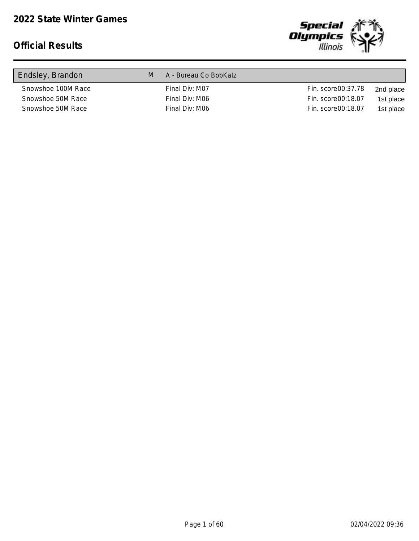

| M | A - Bureau Co BobKatz |                    |           |
|---|-----------------------|--------------------|-----------|
|   | Final Div: M07        | Fin. score00:37.78 | 2nd place |
|   | Final Div: M06        | Fin. score00:18.07 | 1st place |
|   | Final Div: M06        | Fin. score00:18.07 | 1st place |
|   |                       |                    |           |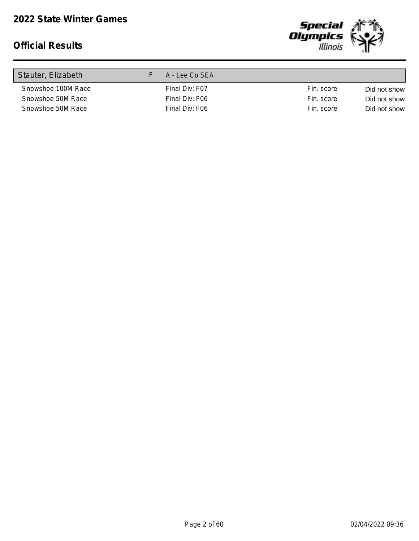

| Stauter, Elizabeth | A - Lee Co SEA |            |              |
|--------------------|----------------|------------|--------------|
| Snowshoe 100M Race | Final Div: F07 | Fin. score | Did not show |
| Snowshoe 50M Race  | Final Div: F06 | Fin. score | Did not show |
| Snowshoe 50M Race  | Final Div: F06 | Fin. score | Did not show |
|                    |                |            |              |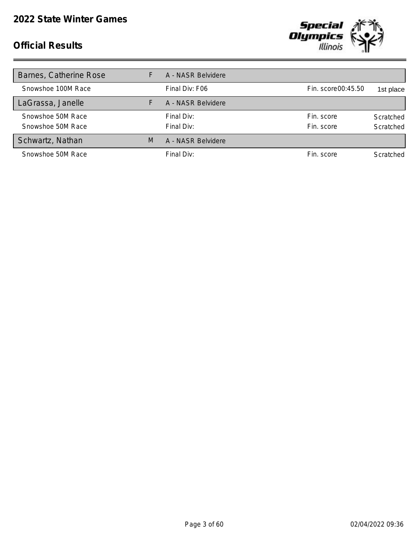

| Barnes, Catherine Rose |   | A - NASR Belvidere |                    |           |
|------------------------|---|--------------------|--------------------|-----------|
| Snowshoe 100M Race     |   | Final Div: F06     | Fin. score00:45.50 | 1st place |
| LaGrassa, Janelle      |   | A - NASR Belvidere |                    |           |
| Snowshoe 50M Race      |   | Final Div:         | Fin. score         | Scratched |
| Snowshoe 50M Race      |   | Final Div:         | Fin. score         | Scratched |
| Schwartz, Nathan       | M | A - NASR Belvidere |                    |           |
| Snowshoe 50M Race      |   | Final Div:         | Fin. score         | Scratched |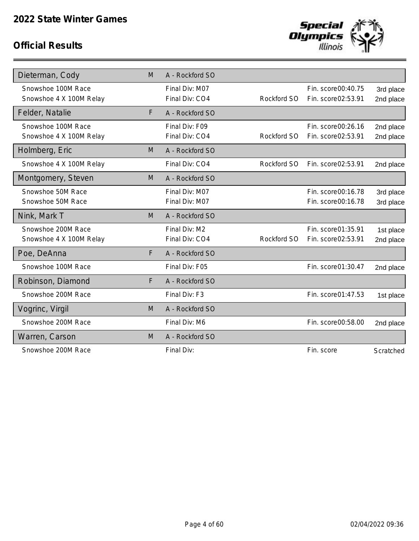

| Dieterman, Cody         | M | A - Rockford SO |             |                    |           |
|-------------------------|---|-----------------|-------------|--------------------|-----------|
| Snowshoe 100M Race      |   | Final Div: M07  |             | Fin. score00:40.75 | 3rd place |
| Snowshoe 4 X 100M Relay |   | Final Div: CO4  | Rockford SO | Fin. score02:53.91 | 2nd place |
| Felder, Natalie         | F | A - Rockford SO |             |                    |           |
| Snowshoe 100M Race      |   | Final Div: F09  |             | Fin. score00:26.16 | 2nd place |
| Snowshoe 4 X 100M Relay |   | Final Div: CO4  | Rockford SO | Fin. score02:53.91 | 2nd place |
| Holmberg, Eric          | M | A - Rockford SO |             |                    |           |
| Snowshoe 4 X 100M Relay |   | Final Div: CO4  | Rockford SO | Fin. score02:53.91 | 2nd place |
| Montgomery, Steven      | M | A - Rockford SO |             |                    |           |
| Snowshoe 50M Race       |   | Final Div: M07  |             | Fin. score00:16.78 | 3rd place |
| Snowshoe 50M Race       |   | Final Div: M07  |             | Fin. score00:16.78 | 3rd place |
| Nink, Mark T            | M | A - Rockford SO |             |                    |           |
| Snowshoe 200M Race      |   | Final Div: M2   |             | Fin. score01:35.91 | 1st place |
| Snowshoe 4 X 100M Relay |   | Final Div: CO4  | Rockford SO | Fin. score02:53.91 | 2nd place |
| Poe, DeAnna             | F | A - Rockford SO |             |                    |           |
| Snowshoe 100M Race      |   | Final Div: F05  |             | Fin. score01:30.47 | 2nd place |
| Robinson, Diamond       | F | A - Rockford SO |             |                    |           |
| Snowshoe 200M Race      |   | Final Div: F3   |             | Fin. score01:47.53 | 1st place |
| Vogrinc, Virgil         | M | A - Rockford SO |             |                    |           |
| Snowshoe 200M Race      |   | Final Div: M6   |             | Fin. score00:58.00 | 2nd place |
| Warren, Carson          | M | A - Rockford SO |             |                    |           |
| Snowshoe 200M Race      |   | Final Div:      |             | Fin. score         | Scratched |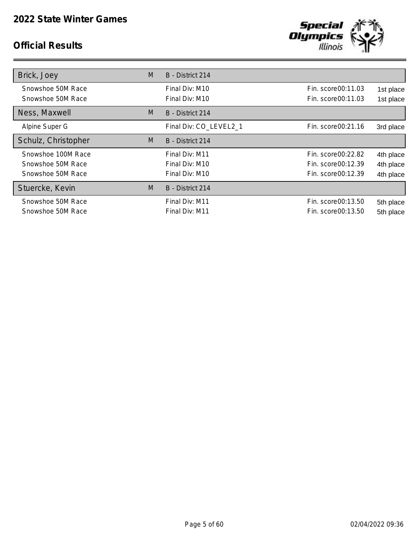

| Brick, Joey         | M | B - District 214       |                    |           |
|---------------------|---|------------------------|--------------------|-----------|
| Snowshoe 50M Race   |   | Final Div: M10         | Fin. score00:11.03 | 1st place |
| Snowshoe 50M Race   |   | Final Div: M10         | Fin. score00:11.03 | 1st place |
| Ness, Maxwell       | M | B - District 214       |                    |           |
| Alpine Super G      |   | Final Div: CO_LEVEL2_1 | Fin. score00:21.16 | 3rd place |
| Schulz, Christopher | M | B - District 214       |                    |           |
| Snowshoe 100M Race  |   | Final Div: M11         | Fin. score00:22.82 | 4th place |
| Snowshoe 50M Race   |   | Final Div: M10         | Fin. score00:12.39 | 4th place |
| Snowshoe 50M Race   |   | Final Div: M10         | Fin. score00:12.39 | 4th place |
| Stuercke, Kevin     | M | B - District 214       |                    |           |
| Snowshoe 50M Race   |   | Final Div: M11         | Fin. score00:13.50 | 5th place |
| Snowshoe 50M Race   |   | Final Div: M11         | Fin. score00:13.50 | 5th place |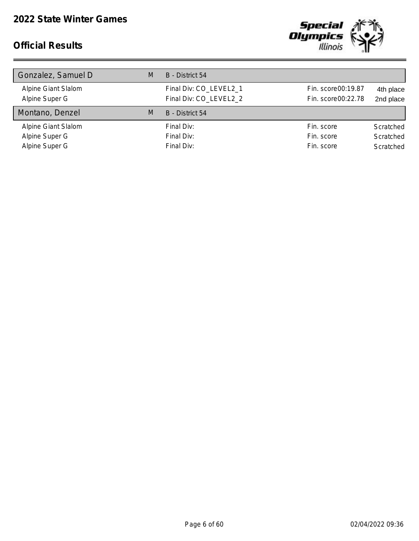

| M | B - District 54        |                    |           |
|---|------------------------|--------------------|-----------|
|   | Final Div: CO_LEVEL2_1 | Fin. score00:19.87 | 4th place |
|   | Final Div: CO_LEVEL2_2 | Fin. score00:22.78 | 2nd place |
| M | B - District 54        |                    |           |
|   | Final Div:             | Fin. score         | Scratched |
|   | Final Div:             | Fin. score         | Scratched |
|   | Final Div:             | Fin. score         | Scratched |
|   |                        |                    |           |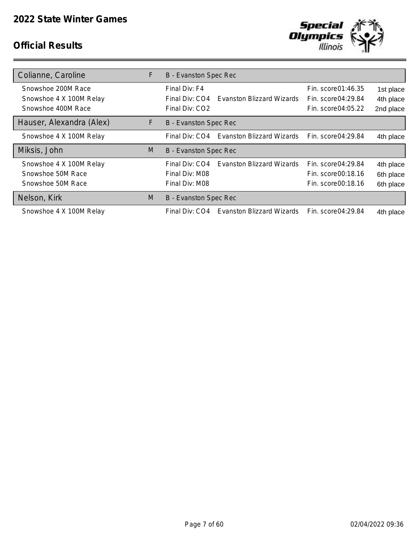

| Colianne, Caroline                            | F | <b>B</b> - Evanston Spec Rec                                 |                                            |                        |
|-----------------------------------------------|---|--------------------------------------------------------------|--------------------------------------------|------------------------|
| Snowshoe 200M Race<br>Snowshoe 4 X 100M Relay |   | Final Div: F4<br>Final Div: CO4<br>Evanston Blizzard Wizards | Fin. score01:46.35<br>Fin. score 04: 29.84 | 1st place<br>4th place |
| Snowshoe 400M Race                            |   | Final Div: CO <sub>2</sub>                                   | Fin. score04:05.22                         | 2nd place              |
| Hauser, Alexandra (Alex)                      | F | <b>B</b> - Evanston Spec Rec                                 |                                            |                        |
| Snowshoe 4 X 100M Relay                       |   | Evanston Blizzard Wizards<br>Final Div: CO4                  | Fin. score04:29.84                         | 4th place              |
| Miksis, John                                  | M | <b>B</b> - Evanston Spec Rec                                 |                                            |                        |
| Snowshoe 4 X 100M Relay                       |   | Final Div: CO4<br>Evanston Blizzard Wizards                  | Fin. score 04: 29.84                       | 4th place              |
| Snowshoe 50M Race                             |   | Final Div: M08                                               | Fin. score00:18.16                         | 6th place              |
| Snowshoe 50M Race                             |   | Final Div: M08                                               | Fin. score00:18.16                         | 6th place              |
| Nelson, Kirk                                  | M | <b>B</b> - Evanston Spec Rec                                 |                                            |                        |
| Snowshoe 4 X 100M Relay                       |   | <b>Evanston Blizzard Wizards</b><br>Final Div: CO4           | Fin. score04:29.84                         | 4th place              |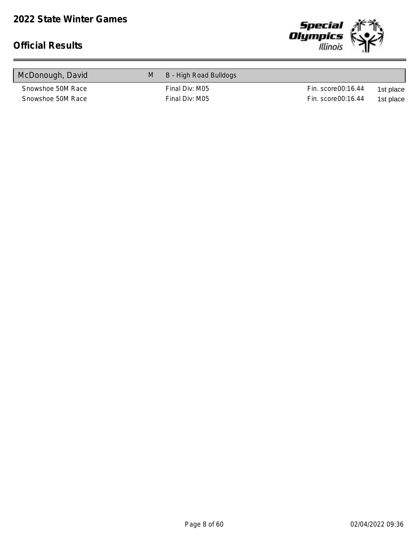

| McDonough, David  | M | B - High Road Bulldogs |                    |           |
|-------------------|---|------------------------|--------------------|-----------|
| Snowshoe 50M Race |   | Final Div: M05         | Fin. score00:16.44 | 1st place |
| Snowshoe 50M Race |   | Final Div: M05         | Fin. score00:16.44 | 1st place |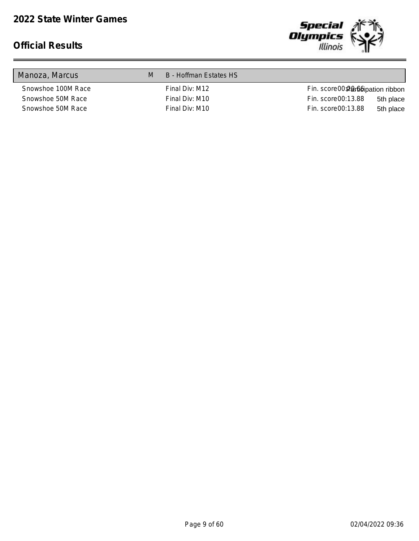

| Manoza, Marcus     | M | B - Hoffman Estates HS |                                  |
|--------------------|---|------------------------|----------------------------------|
| Snowshoe 100M Race |   | Final Div: M12         | Fin. score00:20t66ipation ribbon |
| Snowshoe 50M Race  |   | Final Div: M10         | Fin. score00:13.88<br>5th place  |
| Snowshoe 50M Race  |   | Final Div: M10         | Fin. score00:13.88<br>5th place  |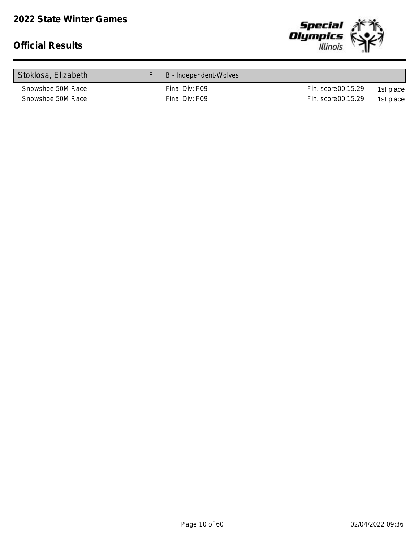

| Stoklosa, Elizabeth | B - Independent-Wolves |                    |           |
|---------------------|------------------------|--------------------|-----------|
| Snowshoe 50M Race   | Final Div: F09         | Fin. score00:15.29 | 1st place |
| Snowshoe 50M Race   | Final Div: F09         | Fin. score00:15.29 | 1st place |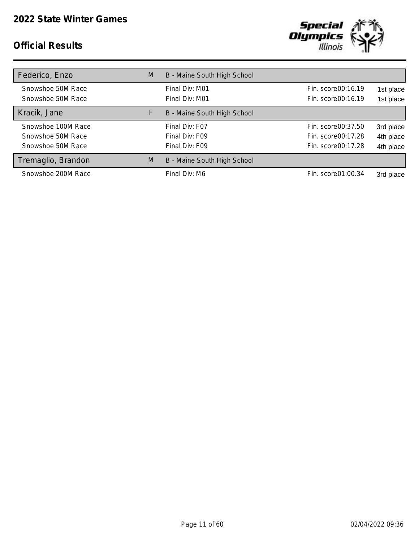

| Federico, Enzo     | M | B - Maine South High School |                    |           |
|--------------------|---|-----------------------------|--------------------|-----------|
| Snowshoe 50M Race  |   | Final Div: M01              | Fin. score00:16.19 | 1st place |
| Snowshoe 50M Race  |   | Final Div: M01              | Fin. score00:16.19 | 1st place |
| Kracik, Jane       | F | B - Maine South High School |                    |           |
| Snowshoe 100M Race |   | Final Div: F07              | Fin. score00:37.50 | 3rd place |
| Snowshoe 50M Race  |   | Final Div: F09              | Fin. score00:17.28 | 4th place |
| Snowshoe 50M Race  |   | Final Div: F09              | Fin. score00:17.28 | 4th place |
| Tremaglio, Brandon | M | B - Maine South High School |                    |           |
| Snowshoe 200M Race |   | Final Div: M6               | Fin. score01:00.34 | 3rd place |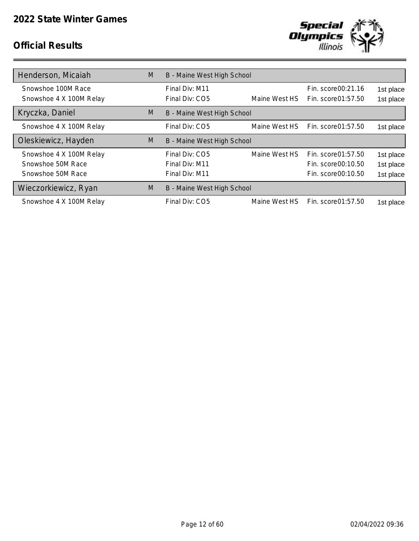

| Henderson, Micaiah      | M | B - Maine West High School |               |                    |           |
|-------------------------|---|----------------------------|---------------|--------------------|-----------|
|                         |   |                            |               |                    |           |
| Snowshoe 100M Race      |   | Final Div: M11             |               | Fin. score00:21.16 | 1st place |
| Snowshoe 4 X 100M Relay |   | Final Div: CO5             | Maine West HS | Fin. score01:57.50 | 1st place |
| Kryczka, Daniel         | M | B - Maine West High School |               |                    |           |
| Snowshoe 4 X 100M Relay |   | Final Div: CO5             | Maine West HS | Fin. score01:57.50 | 1st place |
| Oleskiewicz, Hayden     | M | B - Maine West High School |               |                    |           |
| Snowshoe 4 X 100M Relay |   | Final Div: CO5             | Maine West HS | Fin. score01:57.50 | 1st place |
| Snowshoe 50M Race       |   | Final Div: M11             |               | Fin. score00:10.50 | 1st place |
| Snowshoe 50M Race       |   | Final Div: M11             |               | Fin. score00:10.50 | 1st place |
| Wieczorkiewicz, Ryan    | M | B - Maine West High School |               |                    |           |
| Snowshoe 4 X 100M Relay |   | Final Div: CO5             | Maine West HS | Fin. score01:57.50 | 1st place |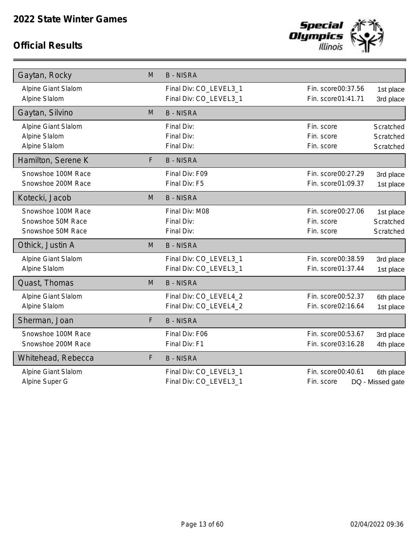

| Gaytan, Rocky       | M | <b>B-NISRA</b>         |                    |                  |
|---------------------|---|------------------------|--------------------|------------------|
| Alpine Giant Slalom |   | Final Div: CO_LEVEL3_1 | Fin. score00:37.56 | 1st place        |
| Alpine Slalom       |   | Final Div: CO_LEVEL3_1 | Fin. score01:41.71 | 3rd place        |
| Gaytan, Silvino     | M | <b>B-NISRA</b>         |                    |                  |
| Alpine Giant Slalom |   | Final Div:             | Fin. score         | Scratched        |
| Alpine Slalom       |   | Final Div:             | Fin. score         | Scratched        |
| Alpine Slalom       |   | Final Div:             | Fin. score         | Scratched        |
| Hamilton, Serene K  | F | <b>B</b> - NISRA       |                    |                  |
| Snowshoe 100M Race  |   | Final Div: F09         | Fin. score00:27.29 | 3rd place        |
| Snowshoe 200M Race  |   | Final Div: F5          | Fin. score01:09.37 | 1st place        |
| Kotecki, Jacob      | M | <b>B-NISRA</b>         |                    |                  |
| Snowshoe 100M Race  |   | Final Div: M08         | Fin. score00:27.06 | 1st place        |
| Snowshoe 50M Race   |   | Final Div:             | Fin. score         | Scratched        |
| Snowshoe 50M Race   |   | Final Div:             | Fin. score         | Scratched        |
| Othick, Justin A    | M | <b>B-NISRA</b>         |                    |                  |
| Alpine Giant Slalom |   | Final Div: CO_LEVEL3_1 | Fin. score00:38.59 | 3rd place        |
| Alpine Slalom       |   | Final Div: CO_LEVEL3_1 | Fin. score01:37.44 | 1st place        |
| Quast, Thomas       | M | <b>B-NISRA</b>         |                    |                  |
| Alpine Giant Slalom |   | Final Div: CO_LEVEL4_2 | Fin. score00:52.37 | 6th place        |
| Alpine Slalom       |   | Final Div: CO_LEVEL4_2 | Fin. score02:16.64 | 1st place        |
| Sherman, Joan       | F | <b>B-NISRA</b>         |                    |                  |
| Snowshoe 100M Race  |   | Final Div: F06         | Fin. score00:53.67 | 3rd place        |
| Snowshoe 200M Race  |   | Final Div: F1          | Fin. score03:16.28 | 4th place        |
| Whitehead, Rebecca  | F | <b>B-NISRA</b>         |                    |                  |
| Alpine Giant Slalom |   | Final Div: CO_LEVEL3_1 | Fin. score00:40.61 | 6th place        |
| Alpine Super G      |   | Final Div: CO_LEVEL3_1 | Fin. score         | DQ - Missed gate |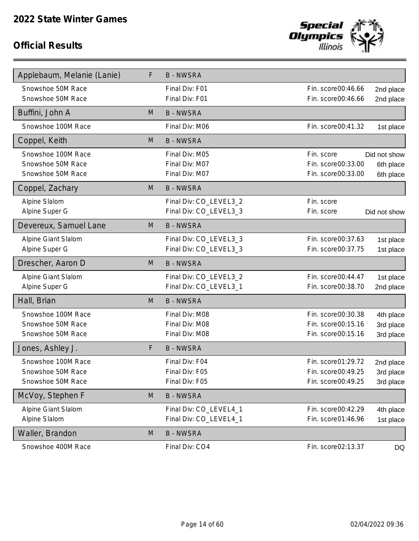

| Applebaum, Melanie (Lanie) | F | <b>B-NWSRA</b>         |                    |              |
|----------------------------|---|------------------------|--------------------|--------------|
| Snowshoe 50M Race          |   | Final Div: F01         | Fin. score00:46.66 | 2nd place    |
| Snowshoe 50M Race          |   | Final Div: F01         | Fin. score00:46.66 | 2nd place    |
| Buffini, John A            | M | <b>B-NWSRA</b>         |                    |              |
| Snowshoe 100M Race         |   | Final Div: M06         | Fin. score00:41.32 | 1st place    |
| Coppel, Keith              | M | <b>B-NWSRA</b>         |                    |              |
| Snowshoe 100M Race         |   | Final Div: M05         | Fin. score         | Did not show |
| Snowshoe 50M Race          |   | Final Div: M07         | Fin. score00:33.00 | 6th place    |
| Snowshoe 50M Race          |   | Final Div: M07         | Fin. score00:33.00 | 6th place    |
| Coppel, Zachary            | M | <b>B-NWSRA</b>         |                    |              |
| Alpine Slalom              |   | Final Div: CO_LEVEL3_2 | Fin. score         |              |
| Alpine Super G             |   | Final Div: CO_LEVEL3_3 | Fin. score         | Did not show |
| Devereux, Samuel Lane      | M | <b>B-NWSRA</b>         |                    |              |
| Alpine Giant Slalom        |   | Final Div: CO_LEVEL3_3 | Fin. score00:37.63 | 1st place    |
| Alpine Super G             |   | Final Div: CO_LEVEL3_3 | Fin. score00:37.75 | 1st place    |
| Drescher, Aaron D          | M | <b>B-NWSRA</b>         |                    |              |
| Alpine Giant Slalom        |   | Final Div: CO_LEVEL3_2 | Fin. score00:44.47 | 1st place    |
| Alpine Super G             |   | Final Div: CO_LEVEL3_1 | Fin. score00:38.70 | 2nd place    |
| Hall, Brian                | M | <b>B-NWSRA</b>         |                    |              |
| Snowshoe 100M Race         |   | Final Div: M08         | Fin. score00:30.38 | 4th place    |
| Snowshoe 50M Race          |   | Final Div: M08         | Fin. score00:15.16 | 3rd place    |
| Snowshoe 50M Race          |   | Final Div: M08         | Fin. score00:15.16 | 3rd place    |
| Jones, Ashley J.           | F | <b>B-NWSRA</b>         |                    |              |
| Snowshoe 100M Race         |   | Final Div: F04         | Fin. score01:29.72 | 2nd place    |
| Snowshoe 50M Race          |   | Final Div: F05         | Fin. score00:49.25 | 3rd place    |
| Snowshoe 50M Race          |   | Final Div: F05         | Fin. score00:49.25 | 3rd place    |
| McVoy, Stephen F           | M | <b>B-NWSRA</b>         |                    |              |
| Alpine Giant Slalom        |   | Final Div: CO_LEVEL4_1 | Fin. score00:42.29 | 4th place    |
| Alpine Slalom              |   | Final Div: CO_LEVEL4_1 | Fin. score01:46.96 | 1st place    |
| Waller, Brandon            | M | <b>B-NWSRA</b>         |                    |              |
| Snowshoe 400M Race         |   | Final Div: CO4         | Fin. score02:13.37 | DQ           |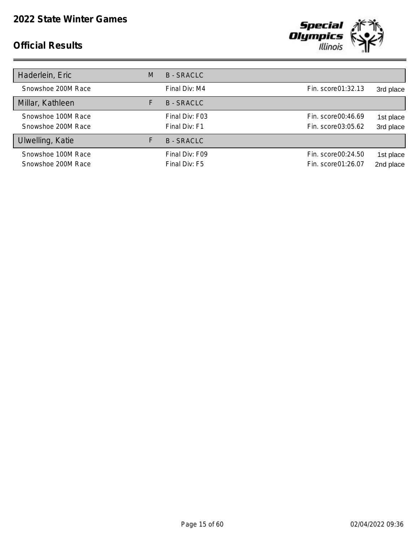

| Haderlein, Eric                          | M | <b>B-SRACLC</b>                 |                                           |                        |
|------------------------------------------|---|---------------------------------|-------------------------------------------|------------------------|
| Snowshoe 200M Race                       |   | Final Div: M4                   | Fin. score01:32.13                        | 3rd place              |
| Millar, Kathleen                         | F | <b>B-SRACLC</b>                 |                                           |                        |
| Snowshoe 100M Race<br>Snowshoe 200M Race |   | Final Div: F03<br>Final Div: F1 | Fin. score00:46.69<br>Fin. score 03:05.62 | 1st place<br>3rd place |
| Ulwelling, Katie                         |   | <b>B-SRACLC</b>                 |                                           |                        |
| Snowshoe 100M Race<br>Snowshoe 200M Race |   | Final Div: F09<br>Final Div: F5 | Fin. score00:24.50<br>Fin. score01:26.07  | 1st place<br>2nd place |
|                                          |   |                                 |                                           |                        |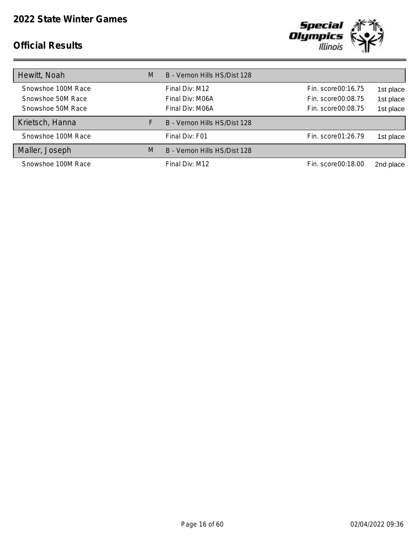

| Hewitt, Noah       | M | B - Vernon Hills HS/Dist 128 |                     |           |
|--------------------|---|------------------------------|---------------------|-----------|
| Snowshoe 100M Race |   | Final Div: M12               | Fin. score00:16.75  | 1st place |
| Snowshoe 50M Race  |   | Final Div: M06A              | Fin. score00:08.75  | 1st place |
| Snowshoe 50M Race  |   | Final Div: M06A              | Fin. score00:08.75  | 1st place |
| Krietsch, Hanna    |   | B - Vernon Hills HS/Dist 128 |                     |           |
| Snowshoe 100M Race |   | Final Div: F01               | Fin. score 01:26.79 | 1st place |
| Maller, Joseph     | M | B - Vernon Hills HS/Dist 128 |                     |           |
| Snowshoe 100M Race |   | Final Div: M12               | Fin. score00:18.00  | 2nd place |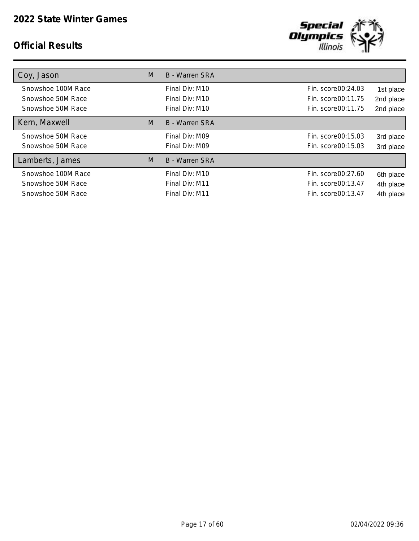

| Coy, Jason         | M | <b>B</b> - Warren SRA |                    |           |
|--------------------|---|-----------------------|--------------------|-----------|
| Snowshoe 100M Race |   | Final Div: M10        | Fin. score00:24.03 | 1st place |
| Snowshoe 50M Race  |   | Final Div: M10        | Fin. score00:11.75 | 2nd place |
| Snowshoe 50M Race  |   | Final Div: M10        | Fin. score00:11.75 | 2nd place |
| Kern, Maxwell      | M | <b>B</b> - Warren SRA |                    |           |
| Snowshoe 50M Race  |   | Final Div: M09        | Fin. score00:15.03 | 3rd place |
| Snowshoe 50M Race  |   | Final Div: M09        | Fin. score00:15.03 | 3rd place |
| Lamberts, James    | M | B - Warren SRA        |                    |           |
| Snowshoe 100M Race |   | Final Div: M10        | Fin. score00:27.60 | 6th place |
| Snowshoe 50M Race  |   | Final Div: M11        | Fin. score00:13.47 | 4th place |
| Snowshoe 50M Race  |   | Final Div: M11        | Fin. score00:13.47 | 4th place |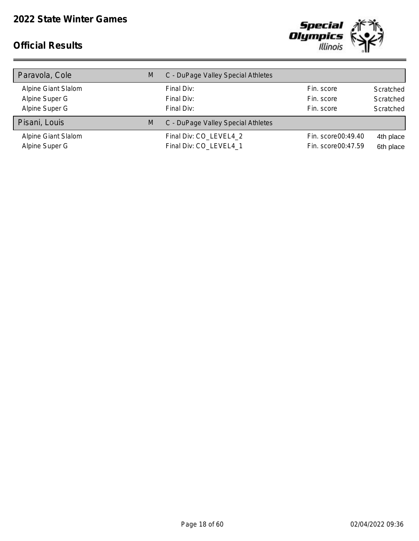

| Paravola, Cole      | M | C - DuPage Valley Special Athletes |                    |           |
|---------------------|---|------------------------------------|--------------------|-----------|
| Alpine Giant Slalom |   | Final Div:                         | Fin. score         | Scratched |
| Alpine Super G      |   | Final Div:                         | Fin. score         | Scratched |
| Alpine Super G      |   | Final Div:                         | Fin. score         | Scratched |
| Pisani, Louis       | M | C - DuPage Valley Special Athletes |                    |           |
| Alpine Giant Slalom |   | Final Div: CO_LEVEL4_2             | Fin. score00:49.40 | 4th place |
| Alpine Super G      |   | Final Div: CO_LEVEL4_1             | Fin. score00:47.59 | 6th place |
|                     |   |                                    |                    |           |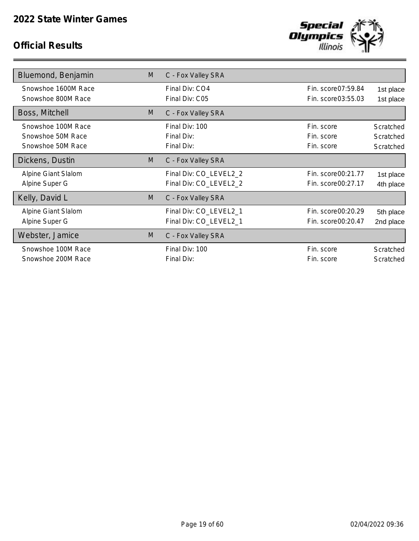

| Bluemond, Benjamin  | M | C - Fox Valley SRA     |                      |           |
|---------------------|---|------------------------|----------------------|-----------|
| Snowshoe 1600M Race |   | Final Div: CO4         | Fin. score07:59.84   | 1st place |
| Snowshoe 800M Race  |   | Final Div: C05         | Fin. score03:55.03   | 1st place |
| Boss, Mitchell      | M | C - Fox Valley SRA     |                      |           |
| Snowshoe 100M Race  |   | Final Div: 100         | Fin. score           | Scratched |
| Snowshoe 50M Race   |   | Final Div:             | Fin. score           | Scratched |
| Snowshoe 50M Race   |   | Final Div:             | Fin. score           | Scratched |
| Dickens, Dustin     | M | C - Fox Valley SRA     |                      |           |
| Alpine Giant Slalom |   | Final Div: CO_LEVEL2_2 | Fin. score 00: 21.77 | 1st place |
| Alpine Super G      |   | Final Div: CO_LEVEL2_2 | Fin. score00:27.17   | 4th place |
| Kelly, David L      | M | C - Fox Valley SRA     |                      |           |
| Alpine Giant Slalom |   | Final Div: CO_LEVEL2_1 | Fin. score00:20.29   | 5th place |
| Alpine Super G      |   | Final Div: CO_LEVEL2_1 | Fin. score00:20.47   | 2nd place |
| Webster, Jamice     | M | C - Fox Valley SRA     |                      |           |
| Snowshoe 100M Race  |   | Final Div: 100         | Fin. score           | Scratched |
| Snowshoe 200M Race  |   | Final Div:             | Fin. score           | Scratched |
|                     |   |                        |                      |           |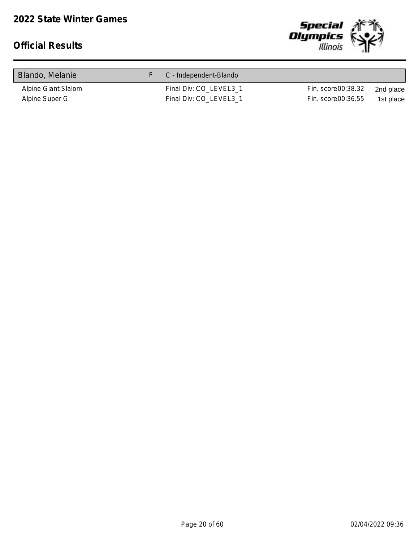

| Blando, Melanie                       | C - Independent-Blando                           |                                          |                        |
|---------------------------------------|--------------------------------------------------|------------------------------------------|------------------------|
| Alpine Giant Slalom<br>Alpine Super G | Final Div: CO_LEVEL3_1<br>Final Div: CO_LEVEL3_1 | Fin. score00:38.32<br>Fin. score00:36.55 | 2nd place<br>1st place |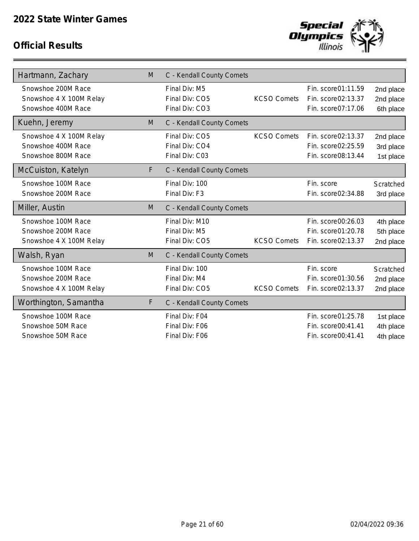

| Hartmann, Zachary                             | M | C - Kendall County Comets       |                    |                                          |                        |
|-----------------------------------------------|---|---------------------------------|--------------------|------------------------------------------|------------------------|
| Snowshoe 200M Race<br>Snowshoe 4 X 100M Relay |   | Final Div: M5<br>Final Div: CO5 | <b>KCSO Comets</b> | Fin. score01:11.59<br>Fin. score02:13.37 | 2nd place              |
| Snowshoe 400M Race                            |   | Final Div: CO3                  |                    | Fin. score07:17.06                       | 2nd place<br>6th place |
| Kuehn, Jeremy                                 | M | C - Kendall County Comets       |                    |                                          |                        |
| Snowshoe 4 X 100M Relay                       |   | Final Div: CO5                  | <b>KCSO Comets</b> | Fin. score02:13.37                       | 2nd place              |
| Snowshoe 400M Race                            |   | Final Div: CO4                  |                    | Fin. score02:25.59                       | 3rd place              |
| Snowshoe 800M Race                            |   | Final Div: C03                  |                    | Fin. score08:13.44                       | 1st place              |
| McCuiston, Katelyn                            | F | C - Kendall County Comets       |                    |                                          |                        |
| Snowshoe 100M Race                            |   | Final Div: 100                  |                    | Fin. score                               | Scratched              |
| Snowshoe 200M Race                            |   | Final Div: F3                   |                    | Fin. score02:34.88                       | 3rd place              |
| Miller, Austin                                | M | C - Kendall County Comets       |                    |                                          |                        |
| Snowshoe 100M Race                            |   | Final Div: M10                  |                    | Fin. score00:26.03                       | 4th place              |
| Snowshoe 200M Race                            |   | Final Div: M5                   |                    | Fin. score01:20.78                       | 5th place              |
| Snowshoe 4 X 100M Relay                       |   | Final Div: CO5                  | <b>KCSO Comets</b> | Fin. score02:13.37                       | 2nd place              |
| Walsh, Ryan                                   | M | C - Kendall County Comets       |                    |                                          |                        |
| Snowshoe 100M Race                            |   | Final Div: 100                  |                    | Fin. score                               | Scratched              |
| Snowshoe 200M Race                            |   | Final Div: M4                   |                    | Fin. score01:30.56                       | 2nd place              |
| Snowshoe 4 X 100M Relay                       |   | Final Div: CO5                  | <b>KCSO Comets</b> | Fin. score02:13.37                       | 2nd place              |
| Worthington, Samantha                         | F | C - Kendall County Comets       |                    |                                          |                        |
| Snowshoe 100M Race                            |   | Final Div: F04                  |                    | Fin. score01:25.78                       | 1st place              |
| Snowshoe 50M Race                             |   | Final Div: F06                  |                    | Fin. score00:41.41                       | 4th place              |
| Snowshoe 50M Race                             |   | Final Div: F06                  |                    | Fin. score00:41.41                       | 4th place              |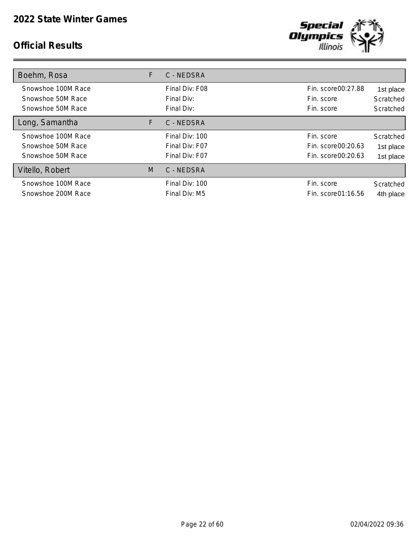

| Boehm, Rosa        | F  | C - NEDSRA     |                    |           |
|--------------------|----|----------------|--------------------|-----------|
| Snowshoe 100M Race |    | Final Div: F08 | Fin. score00:27.88 | 1st place |
| Snowshoe 50M Race  |    | Final Div:     | Fin. score         | Scratched |
| Snowshoe 50M Race  |    | Final Div:     | Fin. score         | Scratched |
| Long, Samantha     | F. | C - NEDSRA     |                    |           |
| Snowshoe 100M Race |    | Final Div: 100 | Fin. score         | Scratched |
| Snowshoe 50M Race  |    | Final Div: F07 | Fin. score00:20.63 | 1st place |
| Snowshoe 50M Race  |    | Final Div: F07 | Fin. score00:20.63 | 1st place |
| Vitello, Robert    | M  | C - NEDSRA     |                    |           |
| Snowshoe 100M Race |    | Final Div: 100 | Fin. score         | Scratched |
| Snowshoe 200M Race |    | Final Div: M5  | Fin. score01:16.56 | 4th place |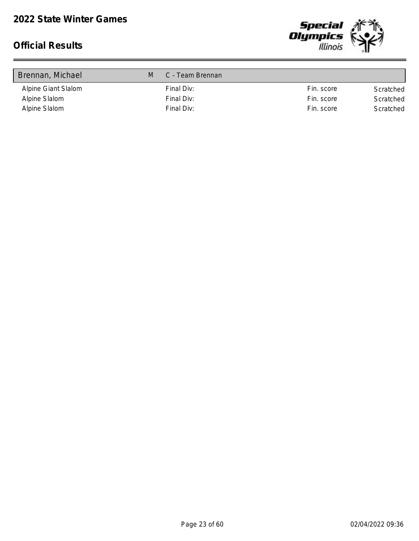

| Brennan, Michael    | M | C - Team Brennan |            |           |
|---------------------|---|------------------|------------|-----------|
| Alpine Giant Slalom |   | Final Div:       | Fin. score | Scratched |
| Alpine Slalom       |   | Final Div:       | Fin. score | Scratched |
| Alpine Slalom       |   | Final Div:       | Fin. score | Scratched |
|                     |   |                  |            |           |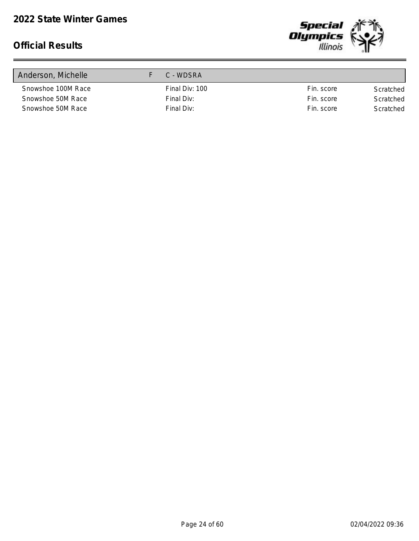

| Anderson, Michelle | C - WDSRA      |            |           |
|--------------------|----------------|------------|-----------|
| Snowshoe 100M Race | Final Div: 100 | Fin. score | Scratched |
| Snowshoe 50M Race  | Final Div:     | Fin. score | Scratched |
| Snowshoe 50M Race  | Final Div:     | Fin. score | Scratched |
|                    |                |            |           |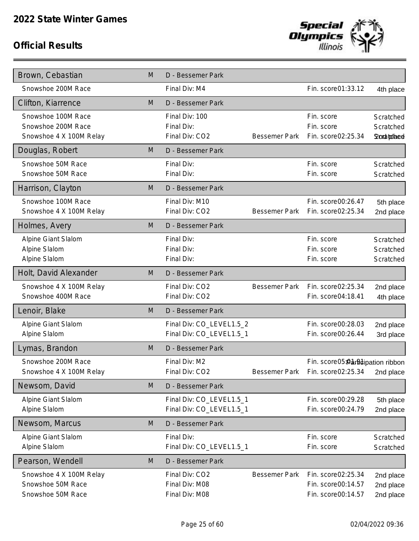

| Brown, Cebastian                                                    | M | D - Bessemer Park                                    |                      |                                                                |                                                |
|---------------------------------------------------------------------|---|------------------------------------------------------|----------------------|----------------------------------------------------------------|------------------------------------------------|
| Snowshoe 200M Race                                                  |   | Final Div: M4                                        |                      | Fin. score01:33.12                                             | 4th place                                      |
| Clifton, Kiarrence                                                  | M | D - Bessemer Park                                    |                      |                                                                |                                                |
| Snowshoe 100M Race<br>Snowshoe 200M Race<br>Snowshoe 4 X 100M Relay |   | Final Div: 100<br>Final Div:<br>Final Div: CO2       | <b>Bessemer Park</b> | Fin. score<br>Fin. score<br>Fin. score02:25.34                 | Scratched<br>Scratched<br><b>Sorch tollaed</b> |
| Douglas, Robert                                                     | M | D - Bessemer Park                                    |                      |                                                                |                                                |
| Snowshoe 50M Race<br>Snowshoe 50M Race                              |   | Final Div:<br>Final Div:                             |                      | Fin. score<br>Fin. score                                       | Scratched<br>Scratched                         |
| Harrison, Clayton                                                   | M | D - Bessemer Park                                    |                      |                                                                |                                                |
| Snowshoe 100M Race<br>Snowshoe 4 X 100M Relay                       |   | Final Div: M10<br>Final Div: CO2                     | <b>Bessemer Park</b> | Fin. score00:26.47<br>Fin. score02:25.34                       | 5th place<br>2nd place                         |
| Holmes, Avery                                                       | M | D - Bessemer Park                                    |                      |                                                                |                                                |
| Alpine Giant Slalom<br>Alpine Slalom<br>Alpine Slalom               |   | Final Div:<br>Final Div:<br>Final Div:               |                      | Fin. score<br>Fin. score<br>Fin. score                         | Scratched<br>Scratched<br>Scratched            |
| Holt, David Alexander                                               | M | D - Bessemer Park                                    |                      |                                                                |                                                |
| Snowshoe 4 X 100M Relay<br>Snowshoe 400M Race                       |   | Final Div: CO2<br>Final Div: CO2                     | <b>Bessemer Park</b> | Fin. score02:25.34<br>Fin. score04:18.41                       | 2nd place<br>4th place                         |
| Lenoir, Blake                                                       | M | D - Bessemer Park                                    |                      |                                                                |                                                |
| Alpine Giant Slalom<br>Alpine Slalom                                |   | Final Div: CO_LEVEL1.5_2<br>Final Div: CO_LEVEL1.5_1 |                      | Fin. score00:28.03<br>Fin. score00:26.44                       | 2nd place<br>3rd place                         |
| Lymas, Brandon                                                      | M | D - Bessemer Park                                    |                      |                                                                |                                                |
| Snowshoe 200M Race<br>Snowshoe 4 X 100M Relay                       |   | Final Div: M2<br>Final Div: CO2                      | <b>Bessemer Park</b> | Fin. score05: Paradipation ribbon<br>Fin. score02:25.34        | 2nd place                                      |
| Newsom, David                                                       | M | D - Bessemer Park                                    |                      |                                                                |                                                |
| Alpine Giant Slalom<br>Alpine Slalom                                |   | Final Div: CO_LEVEL1.5_1<br>Final Div: CO_LEVEL1.5_1 |                      | Fin. score00:29.28<br>Fin. score00:24.79                       | 5th place<br>2nd place                         |
| Newsom, Marcus                                                      | M | D - Bessemer Park                                    |                      |                                                                |                                                |
| Alpine Giant Slalom<br>Alpine Slalom                                |   | Final Div:<br>Final Div: CO_LEVEL1.5_1               |                      | Fin. score<br>Fin. score                                       | Scratched<br>Scratched                         |
| Pearson, Wendell                                                    | M | D - Bessemer Park                                    |                      |                                                                |                                                |
| Snowshoe 4 X 100M Relay<br>Snowshoe 50M Race<br>Snowshoe 50M Race   |   | Final Div: CO2<br>Final Div: M08<br>Final Div: M08   | <b>Bessemer Park</b> | Fin. score02:25.34<br>Fin. score00:14.57<br>Fin. score00:14.57 | 2nd place<br>2nd place<br>2nd place            |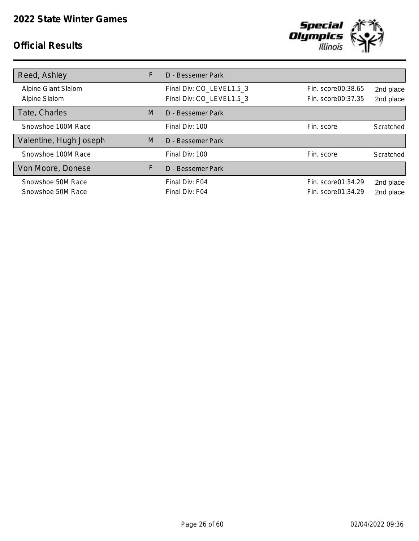

| Reed, Ashley                           | F. | D - Bessemer Park                                    |                                           |                        |
|----------------------------------------|----|------------------------------------------------------|-------------------------------------------|------------------------|
| Alpine Giant Slalom<br>Alpine Slalom   |    | Final Div: CO_LEVEL1.5_3<br>Final Div: CO_LEVEL1.5_3 | Fin. score00:38.65<br>Fin. score00:37.35  | 2nd place<br>2nd place |
| Tate, Charles                          | M  | D - Bessemer Park                                    |                                           |                        |
| Snowshoe 100M Race                     |    | Final Div: 100                                       | Fin. score                                | Scratched              |
| Valentine, Hugh Joseph                 | M  | D - Bessemer Park                                    |                                           |                        |
| Snowshoe 100M Race                     |    | Final Div: 100                                       | Fin. score                                | Scratched              |
| Von Moore, Donese                      | F  | D - Bessemer Park                                    |                                           |                        |
| Snowshoe 50M Race<br>Snowshoe 50M Race |    | Final Div: F04<br>Final Div: F04                     | Fin. score01:34.29<br>Fin. score 01:34.29 | 2nd place<br>2nd place |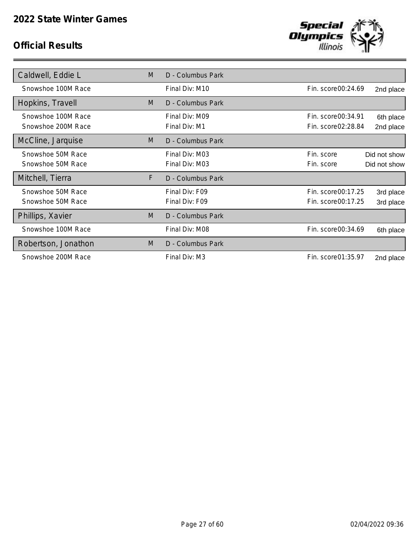

| Caldwell, Eddie L                        | M | D - Columbus Park                |                                          |                              |
|------------------------------------------|---|----------------------------------|------------------------------------------|------------------------------|
| Snowshoe 100M Race                       |   | Final Div: M10                   | Fin. score00:24.69                       | 2nd place                    |
| Hopkins, Travell                         | M | D - Columbus Park                |                                          |                              |
| Snowshoe 100M Race<br>Snowshoe 200M Race |   | Final Div: M09<br>Final Div: M1  | Fin. score00:34.91<br>Fin. score02:28.84 | 6th place<br>2nd place       |
| McCline, Jarquise                        | M | D - Columbus Park                |                                          |                              |
| Snowshoe 50M Race<br>Snowshoe 50M Race   |   | Final Div: M03<br>Final Div: M03 | Fin. score<br>Fin. score                 | Did not show<br>Did not show |
| Mitchell, Tierra                         | F | D - Columbus Park                |                                          |                              |
| Snowshoe 50M Race<br>Snowshoe 50M Race   |   | Final Div: F09<br>Final Div: F09 | Fin. score00:17.25<br>Fin. score00:17.25 | 3rd place<br>3rd place       |
| Phillips, Xavier                         | M | D - Columbus Park                |                                          |                              |
| Snowshoe 100M Race                       |   | Final Div: M08                   | Fin. score00:34.69                       | 6th place                    |
| Robertson, Jonathon                      | M | D - Columbus Park                |                                          |                              |
| Snowshoe 200M Race                       |   | Final Div: M3                    | Fin. score 01:35.97                      | 2nd place                    |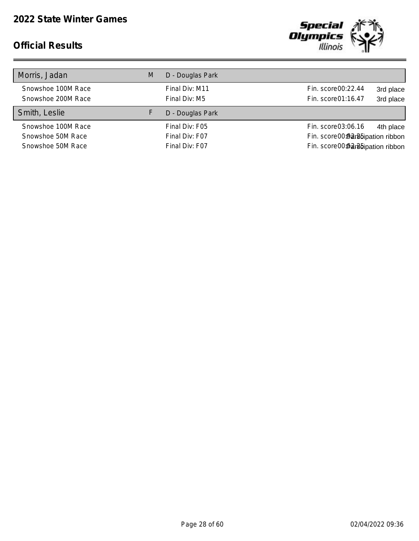

| Morris, Jadan      | M | D - Douglas Park |                                   |           |
|--------------------|---|------------------|-----------------------------------|-----------|
| Snowshoe 100M Race |   | Final Div: M11   | Fin. score 00:22.44               | 3rd place |
| Snowshoe 200M Race |   | Final Div: M5    | Fin. score01:16.47                | 3rd place |
| Smith, Leslie      |   | D - Douglas Park |                                   |           |
| Snowshoe 100M Race |   | Final Div: F05   | Fin. score03:06.16                | 4th place |
| Snowshoe 50M Race  |   | Final Div: F07   | Fin. score00: Barabipation ribbon |           |
| Snowshoe 50M Race  |   | Final Div: F07   | Fin. score00: Barabipation ribbon |           |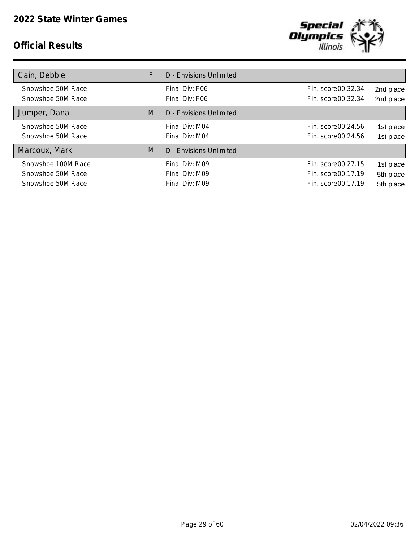

| Cain, Debbie       | F | D - Envisions Unlimited |                    |           |
|--------------------|---|-------------------------|--------------------|-----------|
| Snowshoe 50M Race  |   | Final Div: F06          | Fin. score00:32.34 | 2nd place |
| Snowshoe 50M Race  |   | Final Div: F06          | Fin. score00:32.34 | 2nd place |
| Jumper, Dana       | M | D - Envisions Unlimited |                    |           |
| Snowshoe 50M Race  |   | Final Div: M04          | Fin. score00:24.56 | 1st place |
| Snowshoe 50M Race  |   | Final Div: M04          | Fin. score00:24.56 | 1st place |
| Marcoux, Mark      | M | D - Envisions Unlimited |                    |           |
| Snowshoe 100M Race |   | Final Div: M09          | Fin. score00:27.15 | 1st place |
| Snowshoe 50M Race  |   | Final Div: M09          | Fin. score00:17.19 | 5th place |
| Snowshoe 50M Race  |   | Final Div: M09          | Fin. score00:17.19 | 5th place |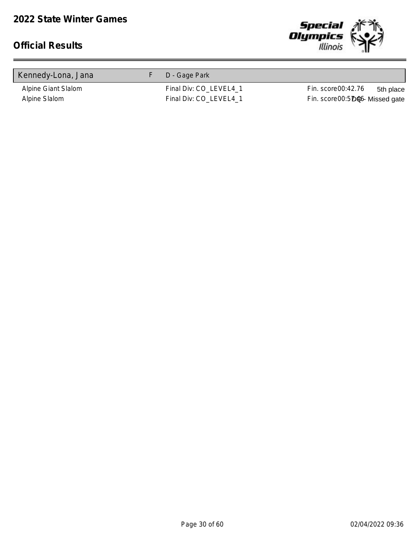

| D - Gage Park          |                                                      |
|------------------------|------------------------------------------------------|
| Final Div: CO_LEVEL4_1 | 5th place                                            |
| Final Div: CO_LEVEL4_1 |                                                      |
|                        | Fin. score00:42.76<br>Fin. score00:5DG6- Missed gate |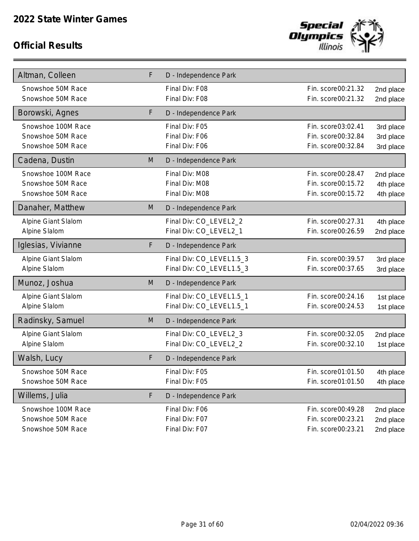

| Altman, Colleen     | F | D - Independence Park    |                    |           |
|---------------------|---|--------------------------|--------------------|-----------|
| Snowshoe 50M Race   |   | Final Div: F08           | Fin. score00:21.32 | 2nd place |
| Snowshoe 50M Race   |   | Final Div: F08           | Fin. score00:21.32 | 2nd place |
| Borowski, Agnes     | F | D - Independence Park    |                    |           |
| Snowshoe 100M Race  |   | Final Div: F05           | Fin. score03:02.41 | 3rd place |
| Snowshoe 50M Race   |   | Final Div: F06           | Fin. score00:32.84 | 3rd place |
| Snowshoe 50M Race   |   | Final Div: F06           | Fin. score00:32.84 | 3rd place |
| Cadena, Dustin      | M | D - Independence Park    |                    |           |
| Snowshoe 100M Race  |   | Final Div: M08           | Fin. score00:28.47 | 2nd place |
| Snowshoe 50M Race   |   | Final Div: M08           | Fin. score00:15.72 | 4th place |
| Snowshoe 50M Race   |   | Final Div: M08           | Fin. score00:15.72 | 4th place |
| Danaher, Matthew    | M | D - Independence Park    |                    |           |
| Alpine Giant Slalom |   | Final Div: CO_LEVEL2_2   | Fin. score00:27.31 | 4th place |
| Alpine Slalom       |   | Final Div: CO_LEVEL2_1   | Fin. score00:26.59 | 2nd place |
| Iglesias, Vivianne  | F | D - Independence Park    |                    |           |
| Alpine Giant Slalom |   | Final Div: CO_LEVEL1.5_3 | Fin. score00:39.57 | 3rd place |
| Alpine Slalom       |   | Final Div: CO_LEVEL1.5_3 | Fin. score00:37.65 | 3rd place |
| Munoz, Joshua       | M | D - Independence Park    |                    |           |
| Alpine Giant Slalom |   | Final Div: CO_LEVEL1.5_1 | Fin. score00:24.16 | 1st place |
| Alpine Slalom       |   | Final Div: CO_LEVEL1.5_1 | Fin. score00:24.53 | 1st place |
| Radinsky, Samuel    | M | D - Independence Park    |                    |           |
| Alpine Giant Slalom |   | Final Div: CO_LEVEL2_3   | Fin. score00:32.05 | 2nd place |
| Alpine Slalom       |   | Final Div: CO_LEVEL2_2   | Fin. score00:32.10 | 1st place |
| Walsh, Lucy         | F | D - Independence Park    |                    |           |
| Snowshoe 50M Race   |   | Final Div: F05           | Fin. score01:01.50 | 4th place |
| Snowshoe 50M Race   |   | Final Div: F05           | Fin. score01:01.50 | 4th place |
| Willems, Julia      | F | D - Independence Park    |                    |           |
| Snowshoe 100M Race  |   | Final Div: F06           | Fin. score00:49.28 | 2nd place |
| Snowshoe 50M Race   |   | Final Div: F07           | Fin. score00:23.21 | 2nd place |
| Snowshoe 50M Race   |   | Final Div: F07           | Fin. score00:23.21 | 2nd place |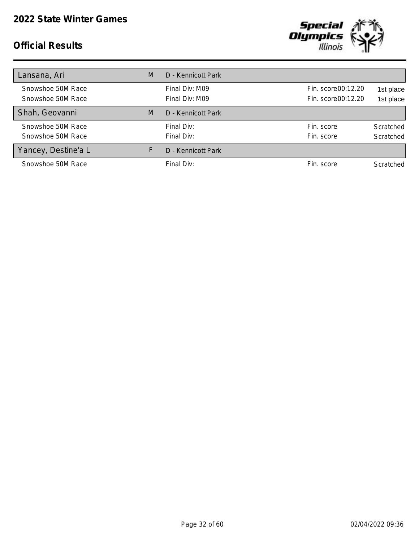

| Lansana, Ari        | M | D - Kennicott Park |                    |           |
|---------------------|---|--------------------|--------------------|-----------|
| Snowshoe 50M Race   |   | Final Div: M09     | Fin. score00:12.20 | 1st place |
| Snowshoe 50M Race   |   | Final Div: M09     | Fin. score00:12.20 | 1st place |
| Shah, Geovanni      | M | D - Kennicott Park |                    |           |
| Snowshoe 50M Race   |   | Final Div:         | Fin. score         | Scratched |
| Snowshoe 50M Race   |   | Final Div:         | Fin. score         | Scratched |
| Yancey, Destine'a L |   | D - Kennicott Park |                    |           |
| Snowshoe 50M Race   |   | Final Div:         | Fin. score         | Scratched |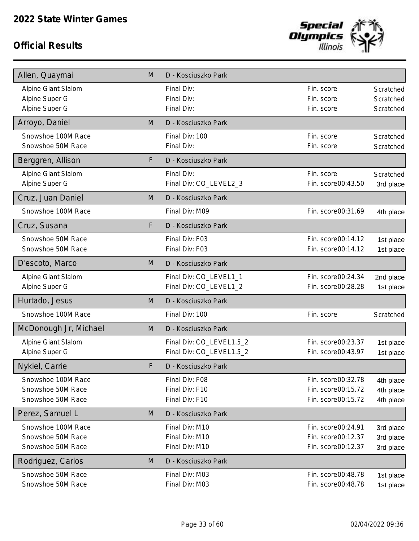

| Allen, Quaymai        | M           | D - Kosciuszko Park      |                    |           |
|-----------------------|-------------|--------------------------|--------------------|-----------|
| Alpine Giant Slalom   |             | Final Div:               | Fin. score         | Scratched |
| Alpine Super G        |             | Final Div:               | Fin. score         | Scratched |
| Alpine Super G        |             | Final Div:               | Fin. score         | Scratched |
| Arroyo, Daniel        | M           | D - Kosciuszko Park      |                    |           |
| Snowshoe 100M Race    |             | Final Div: 100           | Fin. score         | Scratched |
| Snowshoe 50M Race     |             | Final Div:               | Fin. score         | Scratched |
| Berggren, Allison     | $\mathsf F$ | D - Kosciuszko Park      |                    |           |
| Alpine Giant Slalom   |             | Final Div:               | Fin. score         | Scratched |
| Alpine Super G        |             | Final Div: CO_LEVEL2_3   | Fin. score00:43.50 | 3rd place |
| Cruz, Juan Daniel     | M           | D - Kosciuszko Park      |                    |           |
| Snowshoe 100M Race    |             | Final Div: M09           | Fin. score00:31.69 | 4th place |
| Cruz, Susana          | F           | D - Kosciuszko Park      |                    |           |
| Snowshoe 50M Race     |             | Final Div: F03           | Fin. score00:14.12 | 1st place |
| Snowshoe 50M Race     |             | Final Div: F03           | Fin. score00:14.12 | 1st place |
| D'escoto, Marco       | M           | D - Kosciuszko Park      |                    |           |
| Alpine Giant Slalom   |             | Final Div: CO_LEVEL1_1   | Fin. score00:24.34 | 2nd place |
| Alpine Super G        |             | Final Div: CO_LEVEL1_2   | Fin. score00:28.28 | 1st place |
| Hurtado, Jesus        | M           | D - Kosciuszko Park      |                    |           |
| Snowshoe 100M Race    |             | Final Div: 100           | Fin. score         | Scratched |
| McDonough Jr, Michael | M           | D - Kosciuszko Park      |                    |           |
| Alpine Giant Slalom   |             | Final Div: CO_LEVEL1.5_2 | Fin. score00:23.37 | 1st place |
| Alpine Super G        |             | Final Div: CO_LEVEL1.5_2 | Fin. score00:43.97 | 1st place |
| Nykiel, Carrie        | F           | D - Kosciuszko Park      |                    |           |
| Snowshoe 100M Race    |             | Final Div: F08           | Fin. score00:32.78 | 4th place |
| Snowshoe 50M Race     |             | Final Div: F10           | Fin. score00:15.72 | 4th place |
| Snowshoe 50M Race     |             | Final Div: F10           | Fin. score00:15.72 | 4th place |
| Perez, Samuel L       | M           | D - Kosciuszko Park      |                    |           |
| Snowshoe 100M Race    |             | Final Div: M10           | Fin. score00:24.91 | 3rd place |
| Snowshoe 50M Race     |             | Final Div: M10           | Fin. score00:12.37 | 3rd place |
| Snowshoe 50M Race     |             | Final Div: M10           | Fin. score00:12.37 | 3rd place |
| Rodriguez, Carlos     | M           | D - Kosciuszko Park      |                    |           |
| Snowshoe 50M Race     |             | Final Div: M03           | Fin. score00:48.78 | 1st place |
| Snowshoe 50M Race     |             | Final Div: M03           | Fin. score00:48.78 | 1st place |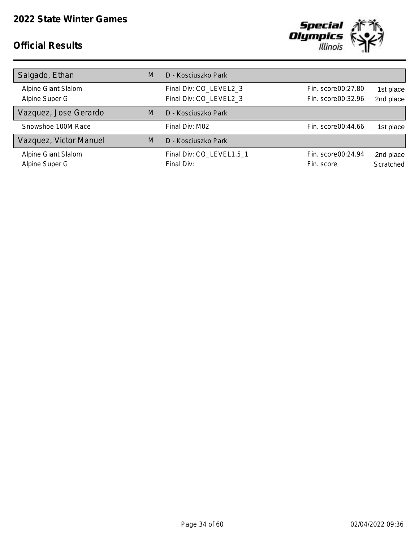

| Salgado, Ethan         | M | D - Kosciuszko Park      |                    |           |
|------------------------|---|--------------------------|--------------------|-----------|
| Alpine Giant Slalom    |   | Final Div: CO_LEVEL2_3   | Fin. score00:27.80 | 1st place |
| Alpine Super G         |   | Final Div: CO_LEVEL2_3   | Fin. score00:32.96 | 2nd place |
| Vazquez, Jose Gerardo  | M | D - Kosciuszko Park      |                    |           |
| Snowshoe 100M Race     |   | Final Div: M02           | Fin. score00:44.66 | 1st place |
| Vazquez, Victor Manuel | M | D - Kosciuszko Park      |                    |           |
| Alpine Giant Slalom    |   | Final Div: CO_LEVEL1.5_1 | Fin. score00:24.94 | 2nd place |
| Alpine Super G         |   | Final Div:               | Fin. score         | Scratched |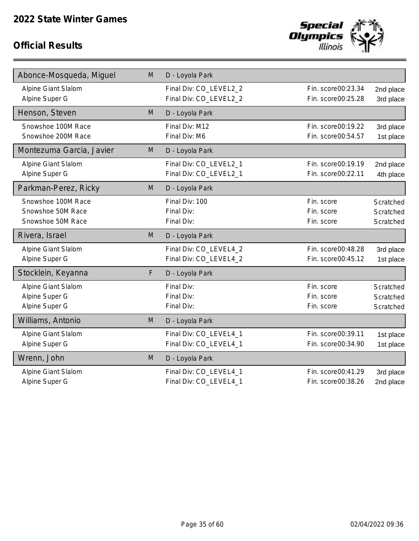

| Abonce-Mosqueda, Miguel  | M         | D - Loyola Park        |                    |           |
|--------------------------|-----------|------------------------|--------------------|-----------|
| Alpine Giant Slalom      |           | Final Div: CO_LEVEL2_2 | Fin. score00:23.34 | 2nd place |
| Alpine Super G           |           | Final Div: CO_LEVEL2_2 | Fin. score00:25.28 | 3rd place |
| Henson, Steven           | M         | D - Loyola Park        |                    |           |
| Snowshoe 100M Race       |           | Final Div: M12         | Fin. score00:19.22 | 3rd place |
| Snowshoe 200M Race       |           | Final Div: M6          | Fin. score00:54.57 | 1st place |
| Montezuma Garcia, Javier | M         | D - Loyola Park        |                    |           |
| Alpine Giant Slalom      |           | Final Div: CO_LEVEL2_1 | Fin. score00:19.19 | 2nd place |
| Alpine Super G           |           | Final Div: CO_LEVEL2_1 | Fin. score00:22.11 | 4th place |
| Parkman-Perez, Ricky     | M         | D - Loyola Park        |                    |           |
| Snowshoe 100M Race       |           | Final Div: 100         | Fin. score         | Scratched |
| Snowshoe 50M Race        |           | Final Div:             | Fin. score         | Scratched |
| Snowshoe 50M Race        |           | Final Div:             | Fin. score         | Scratched |
|                          |           |                        |                    |           |
| Rivera, Israel           | M         | D - Loyola Park        |                    |           |
| Alpine Giant Slalom      |           | Final Div: CO_LEVEL4_2 | Fin. score00:48.28 | 3rd place |
| Alpine Super G           |           | Final Div: CO_LEVEL4_2 | Fin. score00:45.12 | 1st place |
| Stocklein, Keyanna       | F         | D - Loyola Park        |                    |           |
| Alpine Giant Slalom      |           | Final Div:             | Fin. score         | Scratched |
| Alpine Super G           |           | Final Div:             | Fin. score         | Scratched |
| Alpine Super G           |           | Final Div:             | Fin. score         | Scratched |
| Williams, Antonio        | ${\sf M}$ | D - Loyola Park        |                    |           |
| Alpine Giant Slalom      |           | Final Div: CO_LEVEL4_1 | Fin. score00:39.11 | 1st place |
| Alpine Super G           |           | Final Div: CO_LEVEL4_1 | Fin. score00:34.90 | 1st place |
| Wrenn, John              | M         | D - Loyola Park        |                    |           |
| Alpine Giant Slalom      |           | Final Div: CO_LEVEL4_1 | Fin. score00:41.29 | 3rd place |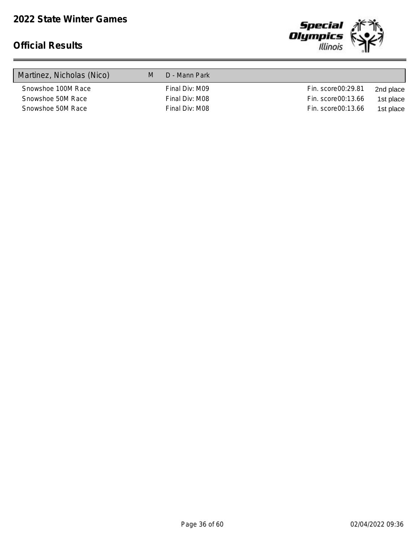

| Martinez, Nicholas (Nico) | M | D - Mann Park  |                    |           |
|---------------------------|---|----------------|--------------------|-----------|
| Snowshoe 100M Race        |   | Final Div: M09 | Fin. score00:29.81 | 2nd place |
| Snowshoe 50M Race         |   | Final Div: M08 | Fin. score00:13.66 | 1st place |
| Snowshoe 50M Race         |   | Final Div: M08 | Fin. score00:13.66 | 1st place |
|                           |   |                |                    |           |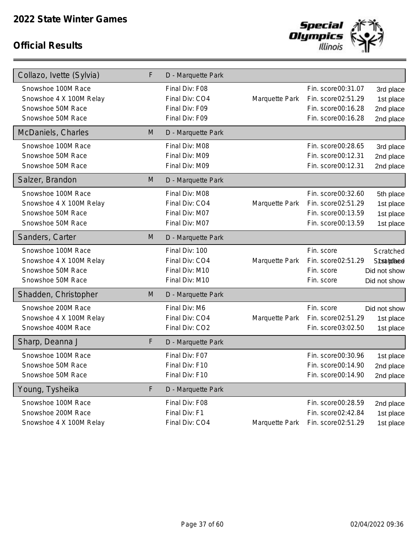

| Collazo, Ivette (Sylvia) | F. | D - Marquette Park |                |                    |                 |
|--------------------------|----|--------------------|----------------|--------------------|-----------------|
| Snowshoe 100M Race       |    | Final Div: F08     |                | Fin. score00:31.07 | 3rd place       |
| Snowshoe 4 X 100M Relay  |    | Final Div: CO4     | Marquette Park | Fin. score02:51.29 | 1st place       |
| Snowshoe 50M Race        |    | Final Div: F09     |                | Fin. score00:16.28 | 2nd place       |
| Snowshoe 50M Race        |    | Final Div: F09     |                | Fin. score00:16.28 | 2nd place       |
| McDaniels, Charles       | M  | D - Marquette Park |                |                    |                 |
| Snowshoe 100M Race       |    | Final Div: M08     |                | Fin. score00:28.65 | 3rd place       |
| Snowshoe 50M Race        |    | Final Div: M09     |                | Fin. score00:12.31 | 2nd place       |
| Snowshoe 50M Race        |    | Final Div: M09     |                | Fin. score00:12.31 | 2nd place       |
| Salzer, Brandon          | M  | D - Marquette Park |                |                    |                 |
| Snowshoe 100M Race       |    | Final Div: M08     |                | Fin. score00:32.60 | 5th place       |
| Snowshoe 4 X 100M Relay  |    | Final Div: CO4     | Marquette Park | Fin. score02:51.29 | 1st place       |
| Snowshoe 50M Race        |    | Final Div: M07     |                | Fin. score00:13.59 | 1st place       |
| Snowshoe 50M Race        |    | Final Div: M07     |                | Fin. score00:13.59 | 1st place       |
| Sanders, Carter          | M  | D - Marquette Park |                |                    |                 |
| Snowshoe 100M Race       |    | Final Div: 100     |                | Fin. score         | Scratched       |
| Snowshoe 4 X 100M Relay  |    | Final Div: CO4     | Marquette Park | Fin. score02:51.29 | <b>Stsaphee</b> |
| Snowshoe 50M Race        |    | Final Div: M10     |                | Fin. score         | Did not show    |
| Snowshoe 50M Race        |    | Final Div: M10     |                | Fin. score         | Did not show    |
| Shadden, Christopher     | M  | D - Marquette Park |                |                    |                 |
| Snowshoe 200M Race       |    | Final Div: M6      |                | Fin. score         | Did not show    |
| Snowshoe 4 X 100M Relay  |    | Final Div: CO4     | Marquette Park | Fin. score02:51.29 | 1st place       |
| Snowshoe 400M Race       |    | Final Div: CO2     |                | Fin. score03:02.50 | 1st place       |
| Sharp, Deanna J          | F  | D - Marquette Park |                |                    |                 |
| Snowshoe 100M Race       |    | Final Div: F07     |                | Fin. score00:30.96 | 1st place       |
| Snowshoe 50M Race        |    | Final Div: F10     |                | Fin. score00:14.90 | 2nd place       |
| Snowshoe 50M Race        |    | Final Div: F10     |                | Fin. score00:14.90 | 2nd place       |
| Young, Tysheika          | F  | D - Marquette Park |                |                    |                 |
| Snowshoe 100M Race       |    | Final Div: F08     |                | Fin. score00:28.59 | 2nd place       |
| Snowshoe 200M Race       |    | Final Div: F1      |                | Fin. score02:42.84 | 1st place       |
| Snowshoe 4 X 100M Relay  |    | Final Div: CO4     | Marquette Park | Fin. score02:51.29 | 1st place       |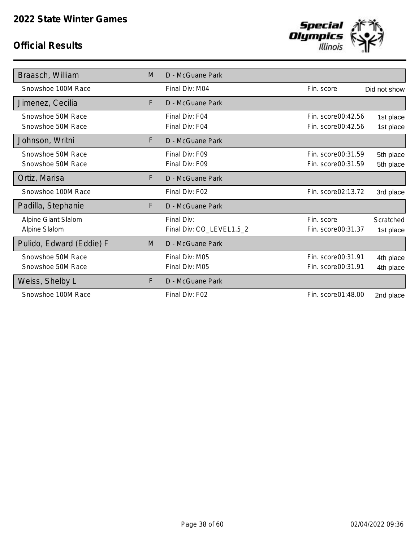

| Braasch, William         | M | D - McGuane Park         |                    |              |
|--------------------------|---|--------------------------|--------------------|--------------|
| Snowshoe 100M Race       |   | Final Div: M04           | Fin. score         | Did not show |
| Jimenez, Cecilia         | F | D - McGuane Park         |                    |              |
| Snowshoe 50M Race        |   | Final Div: F04           | Fin. score00:42.56 | 1st place    |
| Snowshoe 50M Race        |   | Final Div: F04           | Fin. score00:42.56 | 1st place    |
| Johnson, Writni          | F | D - McGuane Park         |                    |              |
| Snowshoe 50M Race        |   | Final Div: F09           | Fin. score00:31.59 | 5th place    |
| Snowshoe 50M Race        |   | Final Div: F09           | Fin. score00:31.59 | 5th place    |
| Ortiz, Marisa            | F | D - McGuane Park         |                    |              |
| Snowshoe 100M Race       |   | Final Div: F02           | Fin. score02:13.72 | 3rd place    |
| Padilla, Stephanie       | F | D - McGuane Park         |                    |              |
| Alpine Giant Slalom      |   | Final Div:               | Fin. score         | Scratched    |
| Alpine Slalom            |   | Final Div: CO_LEVEL1.5_2 | Fin. score00:31.37 | 1st place    |
| Pulido, Edward (Eddie) F | M | D - McGuane Park         |                    |              |
| Snowshoe 50M Race        |   | Final Div: M05           | Fin. score00:31.91 | 4th place    |
| Snowshoe 50M Race        |   | Final Div: M05           | Fin. score00:31.91 | 4th place    |
| Weiss, Shelby L          | F | D - McGuane Park         |                    |              |
| Snowshoe 100M Race       |   | Final Div: F02           | Fin. score01:48.00 | 2nd place    |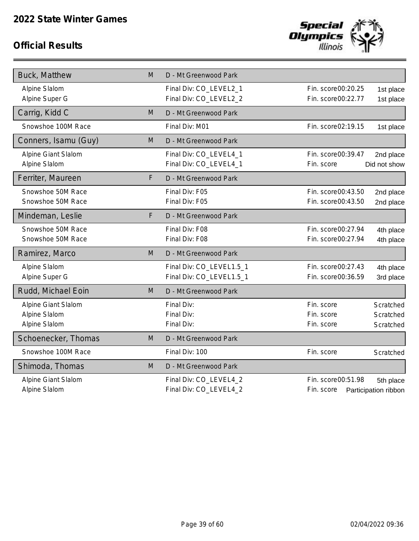

| Buck, Matthew        | M | D - Mt Greenwood Park    |                    |                      |
|----------------------|---|--------------------------|--------------------|----------------------|
| Alpine Slalom        |   | Final Div: CO_LEVEL2_1   | Fin. score00:20.25 | 1st place            |
| Alpine Super G       |   | Final Div: CO_LEVEL2_2   | Fin. score00:22.77 | 1st place            |
| Carrig, Kidd C       | M | D - Mt Greenwood Park    |                    |                      |
| Snowshoe 100M Race   |   | Final Div: M01           | Fin. score02:19.15 | 1st place            |
| Conners, Isamu (Guy) | M | D - Mt Greenwood Park    |                    |                      |
| Alpine Giant Slalom  |   | Final Div: CO_LEVEL4_1   | Fin. score00:39.47 | 2nd place            |
| Alpine Slalom        |   | Final Div: CO_LEVEL4_1   | Fin. score         | Did not show         |
| Ferriter, Maureen    | F | D - Mt Greenwood Park    |                    |                      |
| Snowshoe 50M Race    |   | Final Div: F05           | Fin. score00:43.50 | 2nd place            |
| Snowshoe 50M Race    |   | Final Div: F05           | Fin. score00:43.50 | 2nd place            |
| Mindeman, Leslie     | F | D - Mt Greenwood Park    |                    |                      |
| Snowshoe 50M Race    |   | Final Div: F08           | Fin. score00:27.94 | 4th place            |
| Snowshoe 50M Race    |   | Final Div: F08           | Fin. score00:27.94 | 4th place            |
| Ramirez, Marco       | M | D - Mt Greenwood Park    |                    |                      |
| Alpine Slalom        |   | Final Div: CO_LEVEL1.5_1 | Fin. score00:27.43 | 4th place            |
| Alpine Super G       |   | Final Div: CO_LEVEL1.5_1 | Fin. score00:36.59 | 3rd place            |
| Rudd, Michael Eoin   | M | D - Mt Greenwood Park    |                    |                      |
| Alpine Giant Slalom  |   | Final Div:               | Fin. score         | Scratched            |
| Alpine Slalom        |   | Final Div:               | Fin. score         | Scratched            |
| Alpine Slalom        |   | Final Div:               | Fin. score         | Scratched            |
| Schoenecker, Thomas  | M | D - Mt Greenwood Park    |                    |                      |
| Snowshoe 100M Race   |   | Final Div: 100           | Fin. score         | Scratched            |
| Shimoda, Thomas      | M | D - Mt Greenwood Park    |                    |                      |
| Alpine Giant Slalom  |   | Final Div: CO_LEVEL4_2   | Fin. score00:51.98 | 5th place            |
| Alpine Slalom        |   | Final Div: CO_LEVEL4_2   | Fin. score         | Participation ribbon |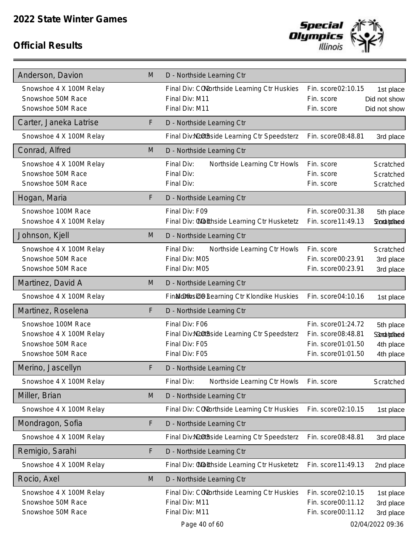

| Anderson, Davion        | M | D - Northside Learning Ctr                   |                     |                       |
|-------------------------|---|----------------------------------------------|---------------------|-----------------------|
| Snowshoe 4 X 100M Relay |   | Final Div: CONbrthside Learning Ctr Huskies  | Fin. score02:10.15  | 1st place             |
| Snowshoe 50M Race       |   | Final Div: M11                               | Fin. score          | Did not show          |
| Snowshoe 50M Race       |   | Final Div: M11                               | Fin. score          | Did not show          |
| Carter, Janeka Latrise  | F | D - Northside Learning Ctr                   |                     |                       |
| Snowshoe 4 X 100M Relay |   | Final Div: MCCtBside Learning Ctr Speedsterz | Fin. score08:48.81  | 3rd place             |
| Conrad, Alfred          | M | D - Northside Learning Ctr                   |                     |                       |
| Snowshoe 4 X 100M Relay |   | Final Div:<br>Northside Learning Ctr Howls   | Fin. score          | Scratched             |
| Snowshoe 50M Race       |   | Final Div:                                   | Fin. score          | Scratched             |
| Snowshoe 50M Race       |   | Final Div:                                   | Fin. score          | Scratched             |
| Hogan, Maria            | F | D - Northside Learning Ctr                   |                     |                       |
| Snowshoe 100M Race      |   | Final Div: F09                               | Fin. score00:31.38  | 5th place             |
| Snowshoe 4 X 100M Relay |   | Final Div: COfthside Learning Ctr Husketetz  | Fin. score11:49.13  | <b>Sorch to be ed</b> |
| Johnson, Kjell          | M | D - Northside Learning Ctr                   |                     |                       |
| Snowshoe 4 X 100M Relay |   | Final Div:<br>Northside Learning Ctr Howls   | Fin. score          | Scratched             |
| Snowshoe 50M Race       |   | Final Div: M05                               | Fin. score00:23.91  | 3rd place             |
| Snowshoe 50M Race       |   | Final Div: M05                               | Fin. score00:23.91  | 3rd place             |
| Martinez, David A       | M | D - Northside Learning Ctr                   |                     |                       |
| Snowshoe 4 X 100M Relay |   | FinaldDihrsid@Bearning Ctr Klondike Huskies  | Fin. score04:10.16  | 1st place             |
| Martinez, Roselena      | F | D - Northside Learning Ctr                   |                     |                       |
| Snowshoe 100M Race      |   | Final Div: F06                               | Fin. score01:24.72  | 5th place             |
| Snowshoe 4 X 100M Relay |   | Final Div: MCCdBside Learning Ctr Speedsterz | Fin. score08:48.81  | <b>S3mappiheed</b>    |
| Snowshoe 50M Race       |   | Final Div: F05                               | Fin. score01:01.50  | 4th place             |
| Snowshoe 50M Race       |   | Final Div: F05                               | Fin. score01:01.50  | 4th place             |
| Merino, Jascellyn       | F | D - Northside Learning Ctr                   |                     |                       |
| Snowshoe 4 X 100M Relay |   | Final Div:<br>Northside Learning Ctr Howls   | Fin. score          | Scratched             |
| Miller, Brian           | M | D - Northside Learning Ctr                   |                     |                       |
| Snowshoe 4 X 100M Relay |   | Final Div: CONorthside Learning Ctr Huskies  | Fin. score02:10.15  | 1st place             |
| Mondragon, Sofia        | F | D - Northside Learning Ctr                   |                     |                       |
| Snowshoe 4 X 100M Relay |   | Final Div: MCCtBside Learning Ctr Speedsterz | Fin. score08:48.81  | 3rd place             |
| Remigio, Sarahi         | F | D - Northside Learning Ctr                   |                     |                       |
| Snowshoe 4 X 100M Relay |   | Final Div: COfthside Learning Ctr Husketetz  | Fin. score 11:49.13 | 2nd place             |
| Rocio, Axel             | M | D - Northside Learning Ctr                   |                     |                       |
| Snowshoe 4 X 100M Relay |   | Final Div: COMbrthside Learning Ctr Huskies  | Fin. score02:10.15  | 1st place             |
| Snowshoe 50M Race       |   | Final Div: M11                               | Fin. score00:11.12  | 3rd place             |
| Snowshoe 50M Race       |   | Final Div: M11                               | Fin. score00:11.12  | 3rd place             |
|                         |   | Page 40 of 60                                |                     | 02/04/2022 09:36      |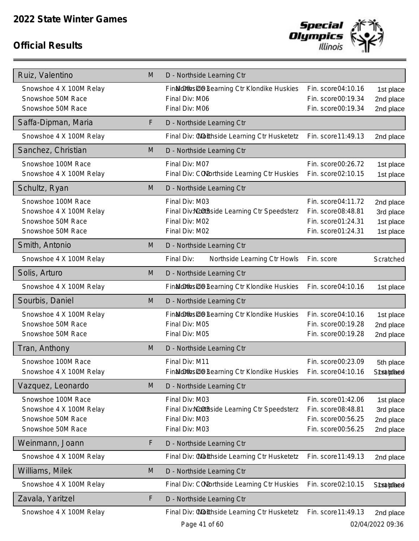

| Ruiz, Valentino         | M | D - Northside Learning Ctr                    |                     |                  |
|-------------------------|---|-----------------------------------------------|---------------------|------------------|
| Snowshoe 4 X 100M Relay |   | FinaldDituside Bearning Ctr Klondike Huskies  | Fin. score04:10.16  | 1st place        |
| Snowshoe 50M Race       |   | Final Div: M06                                | Fin. score00:19.34  | 2nd place        |
| Snowshoe 50M Race       |   | Final Div: M06                                | Fin. score00:19.34  | 2nd place        |
| Saffa-Dipman, Maria     | F | D - Northside Learning Ctr                    |                     |                  |
| Snowshoe 4 X 100M Relay |   | Final Div: COfthside Learning Ctr Husketetz   | Fin. score 11:49.13 | 2nd place        |
| Sanchez, Christian      | M | D - Northside Learning Ctr                    |                     |                  |
| Snowshoe 100M Race      |   | Final Div: M07                                | Fin. score00:26.72  | 1st place        |
| Snowshoe 4 X 100M Relay |   | Final Div: CONbrthside Learning Ctr Huskies   | Fin. score02:10.15  | 1st place        |
| Schultz, Ryan           | M | D - Northside Learning Ctr                    |                     |                  |
| Snowshoe 100M Race      |   | Final Div: M03                                | Fin. score04:11.72  | 2nd place        |
| Snowshoe 4 X 100M Relay |   | Final Div: MCCO Bside Learning Ctr Speedsterz | Fin. score08:48.81  | 3rd place        |
| Snowshoe 50M Race       |   | Final Div: M02                                | Fin. score01:24.31  | 1st place        |
| Snowshoe 50M Race       |   | Final Div: M02                                | Fin. score01:24.31  | 1st place        |
| Smith, Antonio          | M | D - Northside Learning Ctr                    |                     |                  |
| Snowshoe 4 X 100M Relay |   | Final Div:<br>Northside Learning Ctr Howls    | Fin. score          | Scratched        |
| Solis, Arturo           | M | D - Northside Learning Ctr                    |                     |                  |
| Snowshoe 4 X 100M Relay |   | FinaldDibsideBearning Ctr Klondike Huskies    | Fin. score04:10.16  | 1st place        |
| Sourbis, Daniel         | M | D - Northside Learning Ctr                    |                     |                  |
| Snowshoe 4 X 100M Relay |   | FinaldDitusid@Bearning Ctr Klondike Huskies   | Fin. score04:10.16  | 1st place        |
| Snowshoe 50M Race       |   | Final Div: M05                                | Fin. score00:19.28  | 2nd place        |
| Snowshoe 50M Race       |   | Final Div: M05                                | Fin. score00:19.28  | 2nd place        |
| Tran, Anthony           | M | D - Northside Learning Ctr                    |                     |                  |
| Snowshoe 100M Race      |   | Final Div: M11                                | Fin. score00:23.09  | 5th place        |
| Snowshoe 4 X 100M Relay |   | FinaldDibtsid@Bearning Ctr Klondike Huskies   | Fin. score04:10.16  | Stsatdaed        |
| Vazquez, Leonardo       | M | D - Northside Learning Ctr                    |                     |                  |
| Snowshoe 100M Race      |   | Final Div: M03                                | Fin. score01:42.06  | 1st place        |
| Snowshoe 4 X 100M Relay |   | Final Div: MCCtBside Learning Ctr Speedsterz  | Fin. score08:48.81  | 3rd place        |
| Snowshoe 50M Race       |   | Final Div: M03                                | Fin. score00:56.25  | 2nd place        |
| Snowshoe 50M Race       |   | Final Div: M03                                | Fin. score00:56.25  | 2nd place        |
| Weinmann, Joann         | F | D - Northside Learning Ctr                    |                     |                  |
| Snowshoe 4 X 100M Relay |   | Final Div: COMMthside Learning Ctr Husketetz  | Fin. score 11:49.13 | 2nd place        |
| Williams, Milek         | M | D - Northside Learning Ctr                    |                     |                  |
| Snowshoe 4 X 100M Relay |   | Final Div: CONbrthside Learning Ctr Huskies   | Fin. score02:10.15  | Stsaphee         |
| Zavala, Yaritzel        | F | D - Northside Learning Ctr                    |                     |                  |
| Snowshoe 4 X 100M Relay |   | Final Div: COfthside Learning Ctr Husketetz   | Fin. score 11:49.13 | 2nd place        |
|                         |   | Page 41 of 60                                 |                     | 02/04/2022 09:36 |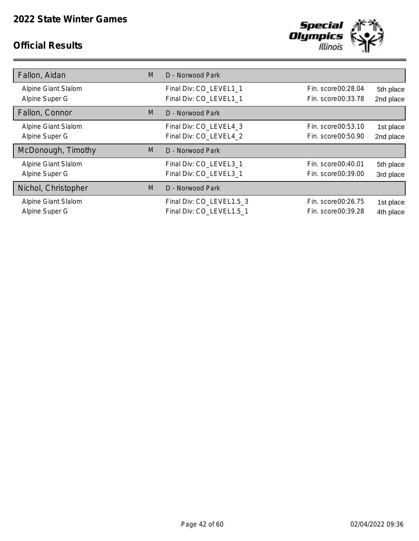

| Fallon, Aidan       | M | D - Norwood Park         |                    |           |
|---------------------|---|--------------------------|--------------------|-----------|
| Alpine Giant Slalom |   | Final Div: CO_LEVEL1_1   | Fin. score00:28.04 | 5th place |
| Alpine Super G      |   | Final Div: CO_LEVEL1_1   | Fin. score00:33.78 | 2nd place |
| Fallon, Connor      | M | D - Norwood Park         |                    |           |
| Alpine Giant Slalom |   | Final Div: CO_LEVEL4_3   | Fin. score00:53.10 | 1st place |
| Alpine Super G      |   | Final Div: CO_LEVEL4_2   | Fin. score00:50.90 | 2nd place |
|                     |   |                          |                    |           |
| McDonough, Timothy  | M | D - Norwood Park         |                    |           |
| Alpine Giant Slalom |   | Final Div: CO_LEVEL3_1   | Fin. score00:40.01 | 5th place |
| Alpine Super G      |   | Final Div: CO_LEVEL3_1   | Fin. score00:39.00 | 3rd place |
| Nichol, Christopher | M | D - Norwood Park         |                    |           |
| Alpine Giant Slalom |   | Final Div: CO_LEVEL1.5_3 | Fin. score00:26.75 | 1st place |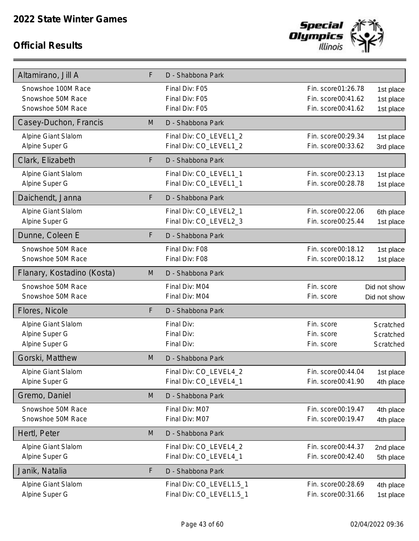

| Altamirano, Jill A                    | F | D - Shabbona Park                                    |                                          |              |
|---------------------------------------|---|------------------------------------------------------|------------------------------------------|--------------|
| Snowshoe 100M Race                    |   | Final Div: F05                                       | Fin. score01:26.78                       | 1st place    |
| Snowshoe 50M Race                     |   | Final Div: F05                                       | Fin. score00:41.62                       | 1st place    |
| Snowshoe 50M Race                     |   | Final Div: F05                                       | Fin. score00:41.62                       | 1st place    |
| Casey-Duchon, Francis                 | M | D - Shabbona Park                                    |                                          |              |
| Alpine Giant Slalom                   |   | Final Div: CO_LEVEL1_2                               | Fin. score00:29.34                       | 1st place    |
| Alpine Super G                        |   | Final Div: CO_LEVEL1_2                               | Fin. score00:33.62                       | 3rd place    |
| Clark, Elizabeth                      | F | D - Shabbona Park                                    |                                          |              |
| Alpine Giant Slalom                   |   | Final Div: CO_LEVEL1_1                               | Fin. score00:23.13                       | 1st place    |
| Alpine Super G                        |   | Final Div: CO_LEVEL1_1                               | Fin. score00:28.78                       | 1st place    |
| Daichendt, Janna                      | F | D - Shabbona Park                                    |                                          |              |
| Alpine Giant Slalom                   |   | Final Div: CO_LEVEL2_1                               | Fin. score00:22.06                       | 6th place    |
| Alpine Super G                        |   | Final Div: CO_LEVEL2_3                               | Fin. score00:25.44                       | 1st place    |
| Dunne, Coleen E                       | F | D - Shabbona Park                                    |                                          |              |
| Snowshoe 50M Race                     |   | Final Div: F08                                       | Fin. score00:18.12                       | 1st place    |
| Snowshoe 50M Race                     |   | Final Div: F08                                       | Fin. score00:18.12                       | 1st place    |
| Flanary, Kostadino (Kosta)            | M | D - Shabbona Park                                    |                                          |              |
| Snowshoe 50M Race                     |   | Final Div: M04                                       | Fin. score                               | Did not show |
| Snowshoe 50M Race                     |   | Final Div: M04                                       | Fin. score                               | Did not show |
|                                       |   |                                                      |                                          |              |
| Flores, Nicole                        | F | D - Shabbona Park                                    |                                          |              |
| Alpine Giant Slalom                   |   | Final Div:                                           | Fin. score                               | Scratched    |
| Alpine Super G                        |   | Final Div:                                           | Fin. score                               | Scratched    |
| Alpine Super G                        |   | Final Div:                                           | Fin. score                               | Scratched    |
| Gorski, Matthew                       | M | D - Shabbona Park                                    |                                          |              |
| <b>Alpine Giant Slalom</b>            |   | Final Div: CO_LEVEL4_2                               | Fin. score00:44.04                       | 1st place    |
| Alpine Super G                        |   | Final Div: CO_LEVEL4_1                               | Fin. score00:41.90                       | 4th place    |
| Gremo, Daniel                         | M | D - Shabbona Park                                    |                                          |              |
| Snowshoe 50M Race                     |   | Final Div: M07                                       | Fin. score00:19.47                       | 4th place    |
| Snowshoe 50M Race                     |   | Final Div: M07                                       | Fin. score00:19.47                       | 4th place    |
| Hertl, Peter                          | M | D - Shabbona Park                                    |                                          |              |
| Alpine Giant Slalom                   |   | Final Div: CO_LEVEL4_2                               | Fin. score00:44.37                       | 2nd place    |
| Alpine Super G                        |   | Final Div: CO_LEVEL4_1                               | Fin. score00:42.40                       | 5th place    |
| Janik, Natalia                        | F | D - Shabbona Park                                    |                                          |              |
| Alpine Giant Slalom<br>Alpine Super G |   | Final Div: CO_LEVEL1.5_1<br>Final Div: CO_LEVEL1.5_1 | Fin. score00:28.69<br>Fin. score00:31.66 | 4th place    |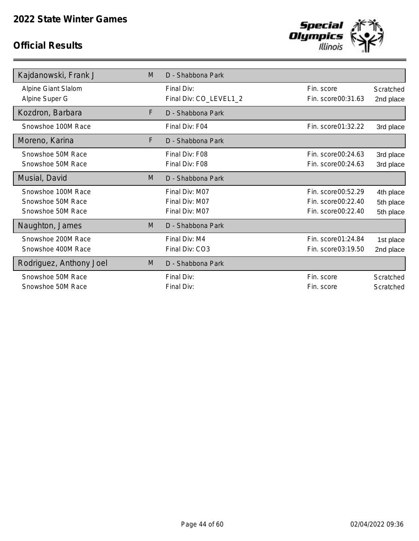

| Kajdanowski, Frank J    | M | D - Shabbona Park      |                     |           |
|-------------------------|---|------------------------|---------------------|-----------|
| Alpine Giant Slalom     |   | Final Div:             | Fin. score          | Scratched |
| Alpine Super G          |   | Final Div: CO_LEVEL1_2 | Fin. score00:31.63  | 2nd place |
| Kozdron, Barbara        | F | D - Shabbona Park      |                     |           |
| Snowshoe 100M Race      |   | Final Div: F04         | Fin. score 01:32.22 | 3rd place |
| Moreno, Karina          | F | D - Shabbona Park      |                     |           |
| Snowshoe 50M Race       |   | Final Div: F08         | Fin. score00:24.63  | 3rd place |
| Snowshoe 50M Race       |   | Final Div: F08         | Fin. score00:24.63  | 3rd place |
| Musial, David           | M | D - Shabbona Park      |                     |           |
| Snowshoe 100M Race      |   | Final Div: M07         | Fin. score00:52.29  | 4th place |
| Snowshoe 50M Race       |   | Final Div: M07         | Fin. score00:22.40  | 5th place |
| Snowshoe 50M Race       |   | Final Div: M07         | Fin. score00:22.40  | 5th place |
| Naughton, James         | M | D - Shabbona Park      |                     |           |
| Snowshoe 200M Race      |   | Final Div: M4          | Fin. score01:24.84  | 1st place |
| Snowshoe 400M Race      |   | Final Div: CO3         | Fin. score03:19.50  | 2nd place |
| Rodriguez, Anthony Joel | M | D - Shabbona Park      |                     |           |
| Snowshoe 50M Race       |   | Final Div:             | Fin. score          | Scratched |
| Snowshoe 50M Race       |   | Final Div:             | Fin. score          | Scratched |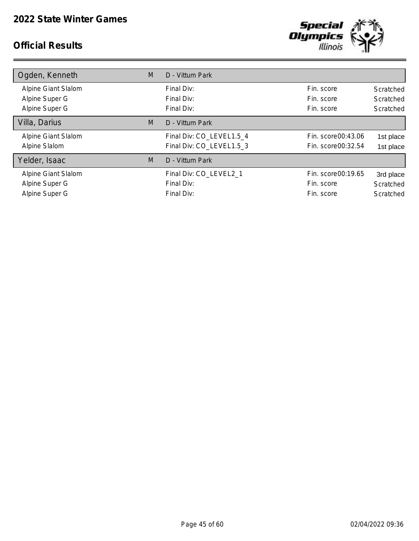

| Ogden, Kenneth      | M | D - Vittum Park          |                    |           |
|---------------------|---|--------------------------|--------------------|-----------|
| Alpine Giant Slalom |   | Final Div:               | Fin. score         | Scratched |
| Alpine Super G      |   | Final Div:               | Fin. score         | Scratched |
| Alpine Super G      |   | Final Div:               | Fin. score         | Scratched |
| Villa, Darius       | M | D - Vittum Park          |                    |           |
| Alpine Giant Slalom |   | Final Div: CO_LEVEL1.5_4 | Fin. score00:43.06 | 1st place |
| Alpine Slalom       |   | Final Div: CO_LEVEL1.5_3 | Fin. score00:32.54 | 1st place |
| Yelder, Isaac       | M | D - Vittum Park          |                    |           |
| Alpine Giant Slalom |   | Final Div: CO_LEVEL2_1   | Fin. score00:19.65 | 3rd place |
| Alpine Super G      |   | Final Div:               | Fin. score         | Scratched |
| Alpine Super G      |   | Final Div:               | Fin. score         | Scratched |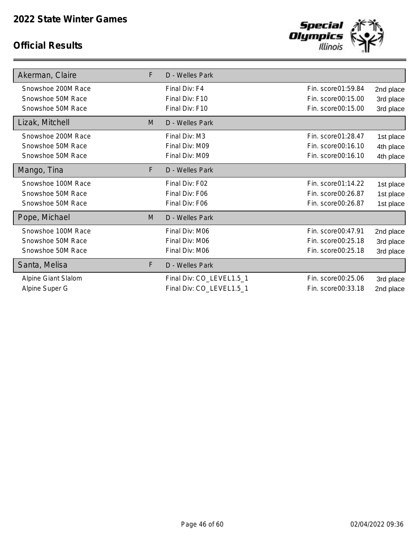

| Akerman, Claire     | F  | D - Welles Park          |                     |           |
|---------------------|----|--------------------------|---------------------|-----------|
| Snowshoe 200M Race  |    | Final Div: F4            | Fin. score 01:59.84 | 2nd place |
| Snowshoe 50M Race   |    | Final Div: F10           | Fin. score00:15.00  | 3rd place |
| Snowshoe 50M Race   |    | Final Div: F10           | Fin. score00:15.00  | 3rd place |
| Lizak, Mitchell     | M  | D - Welles Park          |                     |           |
| Snowshoe 200M Race  |    | Final Div: M3            | Fin. score 01:28.47 | 1st place |
| Snowshoe 50M Race   |    | Final Div: M09           | Fin. score00:16.10  | 4th place |
| Snowshoe 50M Race   |    | Final Div: M09           | Fin. score00:16.10  | 4th place |
| Mango, Tina         | F  | D - Welles Park          |                     |           |
| Snowshoe 100M Race  |    | Final Div: F02           | Fin. score01:14.22  | 1st place |
| Snowshoe 50M Race   |    | Final Div: F06           | Fin. score00:26.87  | 1st place |
| Snowshoe 50M Race   |    | Final Div: F06           | Fin. score00:26.87  | 1st place |
| Pope, Michael       | M  | D - Welles Park          |                     |           |
| Snowshoe 100M Race  |    | Final Div: M06           | Fin. score00:47.91  | 2nd place |
| Snowshoe 50M Race   |    | Final Div: M06           | Fin. score00:25.18  | 3rd place |
| Snowshoe 50M Race   |    | Final Div: M06           | Fin. score00:25.18  | 3rd place |
| Santa, Melisa       | F. | D - Welles Park          |                     |           |
| Alpine Giant Slalom |    | Final Div: CO_LEVEL1.5_1 | Fin. score00:25.06  | 3rd place |
| Alpine Super G      |    | Final Div: CO_LEVEL1.5_1 | Fin. score00:33.18  | 2nd place |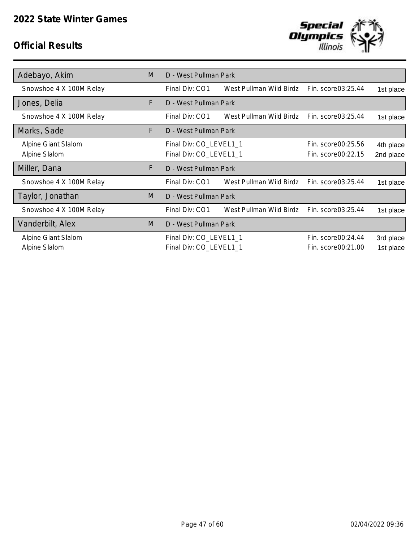

| Adebayo, Akim           | M | D - West Pullman Park                     |                     |           |
|-------------------------|---|-------------------------------------------|---------------------|-----------|
| Snowshoe 4 X 100M Relay |   | West Pullman Wild Birdz<br>Final Div: CO1 | Fin. score 03:25.44 | 1st place |
| Jones, Delia            | F | D - West Pullman Park                     |                     |           |
| Snowshoe 4 X 100M Relay |   | Final Div: CO1<br>West Pullman Wild Birdz | Fin. score 03:25.44 | 1st place |
| Marks, Sade             | F | D - West Pullman Park                     |                     |           |
| Alpine Giant Slalom     |   | Final Div: CO_LEVEL1_1                    | Fin. score00:25.56  | 4th place |
| Alpine Slalom           |   | Final Div: CO_LEVEL1_1                    | Fin. score00:22.15  | 2nd place |
| Miller, Dana            | F | D - West Pullman Park                     |                     |           |
| Snowshoe 4 X 100M Relay |   | Final Div: CO1<br>West Pullman Wild Birdz | Fin. score03:25.44  | 1st place |
| Taylor, Jonathan        | M | D - West Pullman Park                     |                     |           |
| Snowshoe 4 X 100M Relay |   | Final Div: CO1<br>West Pullman Wild Birdz | Fin. score03:25.44  | 1st place |
| Vanderbilt, Alex        | M | D - West Pullman Park                     |                     |           |
| Alpine Giant Slalom     |   | Final Div: CO_LEVEL1_1                    | Fin. score00:24.44  | 3rd place |
| Alpine Slalom           |   | Final Div: CO_LEVEL1_1                    | Fin. score00:21.00  | 1st place |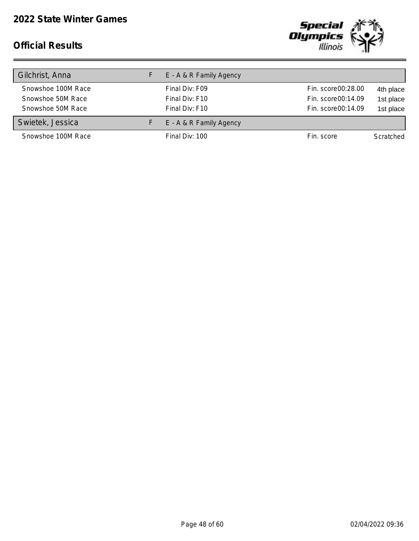

| E - A & R Family Agency |                    |           |
|-------------------------|--------------------|-----------|
| Final Div: F09          | Fin. score00:28.00 | 4th place |
| Final Div: F10          | Fin. score00:14.09 | 1st place |
| Final Div: F10          | Fin. score00:14.09 | 1st place |
| E - A & R Family Agency |                    |           |
| Final Div: 100          | Fin. score         | Scratched |
|                         |                    |           |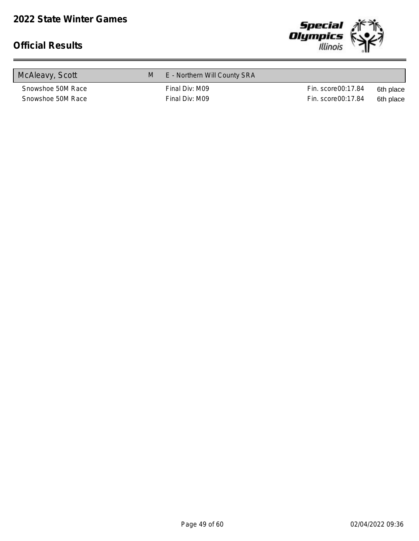

| McAleavy, Scott   | E - Northern Will County SRA |                    |           |
|-------------------|------------------------------|--------------------|-----------|
| Snowshoe 50M Race | Final Div: M09               | Fin. score00:17.84 | 6th place |
| Snowshoe 50M Race | Final Div: M09               | Fin. score00:17.84 | 6th place |
|                   |                              |                    |           |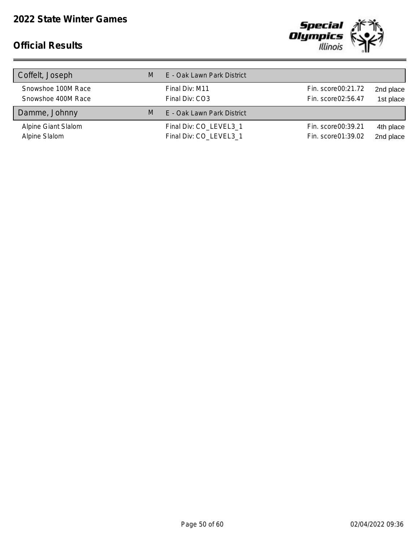

| Coffelt, Joseph     | M | E - Oak Lawn Park District |                     |           |
|---------------------|---|----------------------------|---------------------|-----------|
| Snowshoe 100M Race  |   | Final Div: M11             | Fin. score00:21.72  | 2nd place |
| Snowshoe 400M Race  |   | Final Div: CO3             | Fin. score02:56.47  | 1st place |
| Damme, Johnny       | M | E - Oak Lawn Park District |                     |           |
| Alpine Giant Slalom |   | Final Div: CO_LEVEL3_1     | Fin. score 00:39.21 | 4th place |
| Alpine Slalom       |   | Final Div: CO_LEVEL3_1     | Fin. score01:39.02  | 2nd place |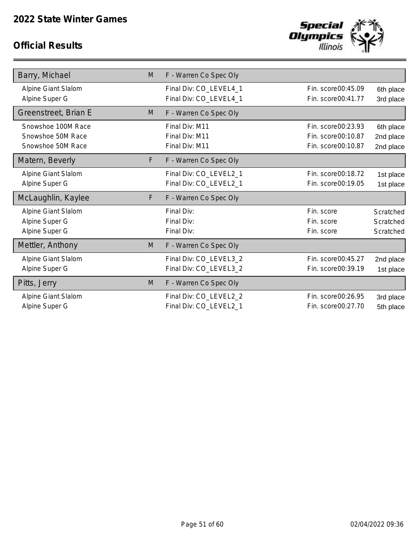

| Barry, Michael       | M | F - Warren Co Spec Oly |                    |           |
|----------------------|---|------------------------|--------------------|-----------|
| Alpine Giant Slalom  |   | Final Div: CO_LEVEL4_1 | Fin. score00:45.09 | 6th place |
| Alpine Super G       |   | Final Div: CO_LEVEL4_1 | Fin. score00:41.77 | 3rd place |
| Greenstreet, Brian E | M | F - Warren Co Spec Oly |                    |           |
| Snowshoe 100M Race   |   | Final Div: M11         | Fin. score00:23.93 | 6th place |
| Snowshoe 50M Race    |   | Final Div: M11         | Fin. score00:10.87 | 2nd place |
| Snowshoe 50M Race    |   | Final Div: M11         | Fin. score00:10.87 | 2nd place |
| Matern, Beverly      | F | F - Warren Co Spec Oly |                    |           |
| Alpine Giant Slalom  |   | Final Div: CO_LEVEL2_1 | Fin. score00:18.72 | 1st place |
| Alpine Super G       |   | Final Div: CO_LEVEL2_1 | Fin. score00:19.05 | 1st place |
|                      |   |                        |                    |           |
| McLaughlin, Kaylee   | F | F - Warren Co Spec Oly |                    |           |
| Alpine Giant Slalom  |   | Final Div:             | Fin. score         | Scratched |
| Alpine Super G       |   | Final Div:             | Fin. score         | Scratched |
| Alpine Super G       |   | Final Div:             | Fin. score         | Scratched |
| Mettler, Anthony     | M | F - Warren Co Spec Oly |                    |           |
| Alpine Giant Slalom  |   | Final Div: CO_LEVEL3_2 | Fin. score00:45.27 | 2nd place |
| Alpine Super G       |   | Final Div: CO_LEVEL3_2 | Fin. score00:39.19 | 1st place |
| Pitts, Jerry         | M | F - Warren Co Spec Oly |                    |           |
| Alpine Giant Slalom  |   | Final Div: CO_LEVEL2_2 | Fin. score00:26.95 | 3rd place |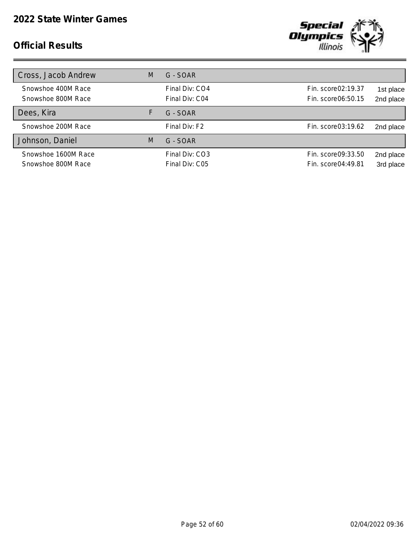

| Cross, Jacob Andrew | M | G - SOAR       |                     |           |
|---------------------|---|----------------|---------------------|-----------|
| Snowshoe 400M Race  |   | Final Div: CO4 | Fin. score 02:19.37 | 1st place |
| Snowshoe 800M Race  |   | Final Div: C04 | Fin. score06:50.15  | 2nd place |
| Dees, Kira          | F | G - SOAR       |                     |           |
| Snowshoe 200M Race  |   | Final Div: F2  | Fin. score03:19.62  | 2nd place |
| Johnson, Daniel     | M | G - SOAR       |                     |           |
| Snowshoe 1600M Race |   | Final Div: CO3 | Fin. score09:33.50  | 2nd place |
| Snowshoe 800M Race  |   | Final Div: C05 | Fin. score04:49.81  | 3rd place |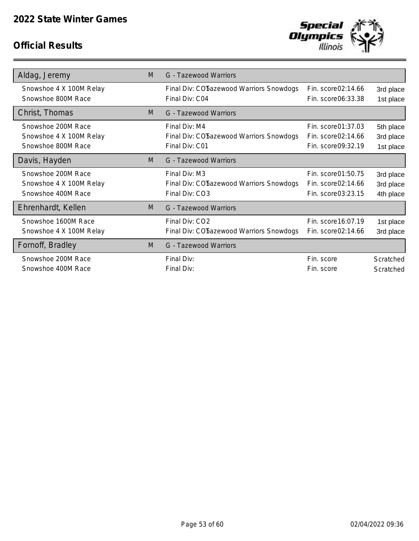

| Aldag, Jeremy           | M | G - Tazewood Warriors                                |                     |           |
|-------------------------|---|------------------------------------------------------|---------------------|-----------|
| Snowshoe 4 X 100M Relay |   | Final Div: CO <sup>b</sup> azewood Warriors Snowdogs | Fin. score02:14.66  | 3rd place |
| Snowshoe 800M Race      |   | Final Div: C04                                       | Fin. score06:33.38  | 1st place |
| Christ, Thomas          | M | G - Tazewood Warriors                                |                     |           |
| Snowshoe 200M Race      |   | Final Div: M4                                        | Fin. score01:37.03  | 5th place |
| Snowshoe 4 X 100M Relay |   | Final Div: CO <sup>b</sup> azewood Warriors Snowdogs | Fin. score02:14.66  | 3rd place |
| Snowshoe 800M Race      |   | Final Div: C01                                       | Fin. score09:32.19  | 1st place |
| Davis, Hayden           | M | G - Tazewood Warriors                                |                     |           |
| Snowshoe 200M Race      |   | Final Div: M3                                        | Fin. score 01:50.75 | 3rd place |
| Snowshoe 4 X 100M Relay |   | Final Div: CO <sup>b</sup> azewood Warriors Snowdogs | Fin. score02:14.66  | 3rd place |
| Snowshoe 400M Race      |   | Final Div: CO3                                       | Fin. score03:23.15  | 4th place |
| Ehrenhardt, Kellen      | M | G - Tazewood Warriors                                |                     |           |
| Snowshoe 1600M Race     |   | Final Div: CO <sub>2</sub>                           | Fin. score 16:07.19 | 1st place |
| Snowshoe 4 X 100M Relay |   | Final Div: CO <sup>b</sup> azewood Warriors Snowdogs | Fin. score02:14.66  | 3rd place |
| Fornoff, Bradley        | M | G - Tazewood Warriors                                |                     |           |
| Snowshoe 200M Race      |   | Final Div:                                           | Fin. score          | Scratched |
| Snowshoe 400M Race      |   | Final Div:                                           | Fin. score          | Scratched |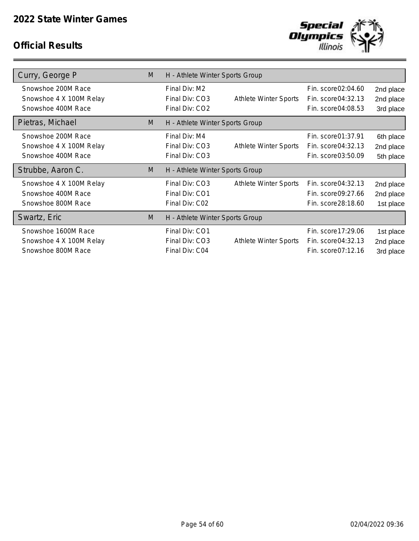

| Curry, George P                                                     | M | H - Athlete Winter Sports Group                                                   |                                                                 |                                     |
|---------------------------------------------------------------------|---|-----------------------------------------------------------------------------------|-----------------------------------------------------------------|-------------------------------------|
| Snowshoe 200M Race<br>Snowshoe 4 X 100M Relay<br>Snowshoe 400M Race |   | Final Div: M2<br>Final Div: CO3<br><b>Athlete Winter Sports</b><br>Final Div: CO2 | Fin. score 02:04.60<br>Fin. score04:32.13<br>Fin. score04:08.53 | 2nd place<br>2nd place<br>3rd place |
| Pietras, Michael                                                    | M | H - Athlete Winter Sports Group                                                   |                                                                 |                                     |
| Snowshoe 200M Race<br>Snowshoe 4 X 100M Relay<br>Snowshoe 400M Race |   | Final Div: M4<br>Final Div: CO3<br><b>Athlete Winter Sports</b><br>Final Div: CO3 | Fin. score01:37.91<br>Fin. score04:32.13<br>Fin. score03:50.09  | 6th place<br>2nd place<br>5th place |
| Strubbe, Aaron C.                                                   | M | H - Athlete Winter Sports Group                                                   |                                                                 |                                     |
| Snowshoe 4 X 100M Relay                                             |   | Final Div: CO3<br><b>Athlete Winter Sports</b>                                    | Fin. score04:32.13                                              |                                     |
| Snowshoe 400M Race<br>Snowshoe 800M Race                            |   | Final Div: CO1<br>Final Div: C02                                                  | Fin. score09:27.66<br>Fin. score 28:18.60                       | 2nd place<br>2nd place<br>1st place |
| Swartz, Eric                                                        | M | H - Athlete Winter Sports Group                                                   |                                                                 |                                     |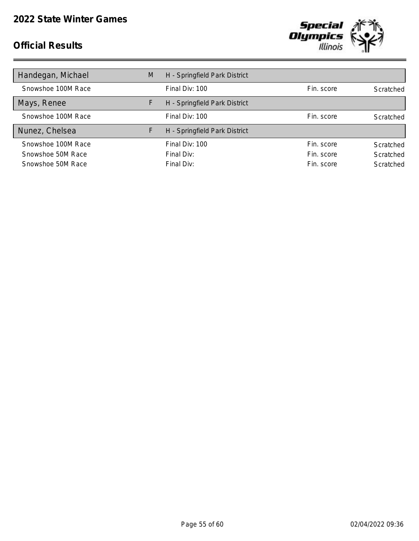

| Handegan, Michael  | M | H - Springfield Park District |            |           |
|--------------------|---|-------------------------------|------------|-----------|
| Snowshoe 100M Race |   | Final Div: 100                | Fin. score | Scratched |
| Mays, Renee        |   | H - Springfield Park District |            |           |
| Snowshoe 100M Race |   | Final Div: 100                | Fin. score | Scratched |
| Nunez, Chelsea     |   | H - Springfield Park District |            |           |
| Snowshoe 100M Race |   | Final Div: 100                | Fin. score | Scratched |
| Snowshoe 50M Race  |   | Final Div:                    | Fin. score | Scratched |
| Snowshoe 50M Race  |   | Final Div:                    | Fin. score | Scratched |
|                    |   |                               |            |           |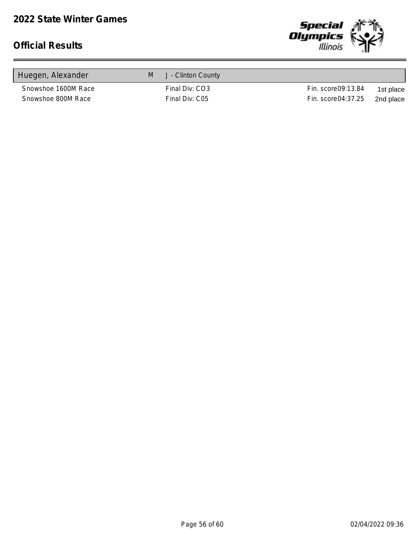

| J - Clinton County<br>M |                    |           |
|-------------------------|--------------------|-----------|
| Final Div: CO3          | Fin. score09:13.84 | 1st place |
| Final Div: C05          | Fin. score04:37.25 | 2nd place |
|                         |                    |           |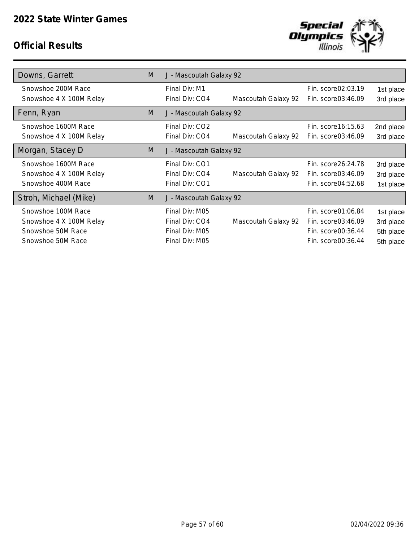

| Downs, Garrett          | M | J - Mascoutah Galaxy 92               |                     |           |
|-------------------------|---|---------------------------------------|---------------------|-----------|
| Snowshoe 200M Race      |   | Final Div: M1                         | Fin. score 02:03.19 | 1st place |
| Snowshoe 4 X 100M Relay |   | Final Div: CO4<br>Mascoutah Galaxy 92 | Fin. score03:46.09  | 3rd place |
| Fenn, Ryan              | M | J - Mascoutah Galaxy 92               |                     |           |
| Snowshoe 1600M Race     |   | Final Div: CO2                        | Fin. score 16:15.63 | 2nd place |
| Snowshoe 4 X 100M Relay |   | Final Div: CO4<br>Mascoutah Galaxy 92 | Fin. score 03:46.09 | 3rd place |
| Morgan, Stacey D        | M | J - Mascoutah Galaxy 92               |                     |           |
| Snowshoe 1600M Race     |   | Final Div: CO1                        | Fin. score 26:24.78 | 3rd place |
| Snowshoe 4 X 100M Relay |   | Final Div: CO4<br>Mascoutah Galaxy 92 | Fin. score 03:46.09 | 3rd place |
| Snowshoe 400M Race      |   | Final Div: CO1                        | Fin. score04:52.68  | 1st place |
| Stroh, Michael (Mike)   | M | J - Mascoutah Galaxy 92               |                     |           |
| Snowshoe 100M Race      |   | Final Div: M05                        | Fin. score01:06.84  | 1st place |
| Snowshoe 4 X 100M Relay |   | Mascoutah Galaxy 92<br>Final Div: CO4 | Fin. score03:46.09  | 3rd place |
| Snowshoe 50M Race       |   | Final Div: M05                        | Fin. score00:36.44  | 5th place |
| Snowshoe 50M Race       |   | Final Div: M05                        | Fin. score00:36.44  | 5th place |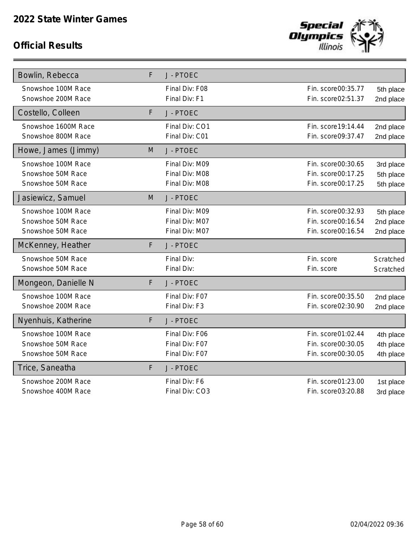

| Bowlin, Rebecca     | F | J - PTOEC      |                     |           |
|---------------------|---|----------------|---------------------|-----------|
| Snowshoe 100M Race  |   | Final Div: F08 | Fin. score00:35.77  | 5th place |
| Snowshoe 200M Race  |   | Final Div: F1  | Fin. score02:51.37  | 2nd place |
| Costello, Colleen   | F | J - PTOEC      |                     |           |
| Snowshoe 1600M Race |   | Final Div: CO1 | Fin. score 19:14.44 | 2nd place |
| Snowshoe 800M Race  |   | Final Div: C01 | Fin. score09:37.47  | 2nd place |
| Howe, James (Jimmy) | M | J - PTOEC      |                     |           |
| Snowshoe 100M Race  |   | Final Div: M09 | Fin. score00:30.65  | 3rd place |
| Snowshoe 50M Race   |   | Final Div: M08 | Fin. score00:17.25  | 5th place |
| Snowshoe 50M Race   |   | Final Div: M08 | Fin. score00:17.25  | 5th place |
| Jasiewicz, Samuel   | M | J - PTOEC      |                     |           |
| Snowshoe 100M Race  |   | Final Div: M09 | Fin. score00:32.93  | 5th place |
| Snowshoe 50M Race   |   | Final Div: M07 | Fin. score00:16.54  | 2nd place |
| Snowshoe 50M Race   |   | Final Div: M07 | Fin. score00:16.54  | 2nd place |
| McKenney, Heather   | F | J - PTOEC      |                     |           |
| Snowshoe 50M Race   |   | Final Div:     | Fin. score          | Scratched |
| Snowshoe 50M Race   |   | Final Div:     | Fin. score          | Scratched |
| Mongeon, Danielle N | F | J - PTOEC      |                     |           |
| Snowshoe 100M Race  |   | Final Div: F07 | Fin. score00:35.50  | 2nd place |
| Snowshoe 200M Race  |   | Final Div: F3  | Fin. score02:30.90  | 2nd place |
| Nyenhuis, Katherine | F | J - PTOEC      |                     |           |
| Snowshoe 100M Race  |   | Final Div: F06 | Fin. score01:02.44  | 4th place |
| Snowshoe 50M Race   |   | Final Div: F07 | Fin. score00:30.05  | 4th place |
| Snowshoe 50M Race   |   | Final Div: F07 | Fin. score00:30.05  | 4th place |
| Trice, Saneatha     | F | J - PTOEC      |                     |           |
| Snowshoe 200M Race  |   | Final Div: F6  | Fin. score01:23.00  | 1st place |
| Snowshoe 400M Race  |   | Final Div: CO3 | Fin. score03:20.88  | 3rd place |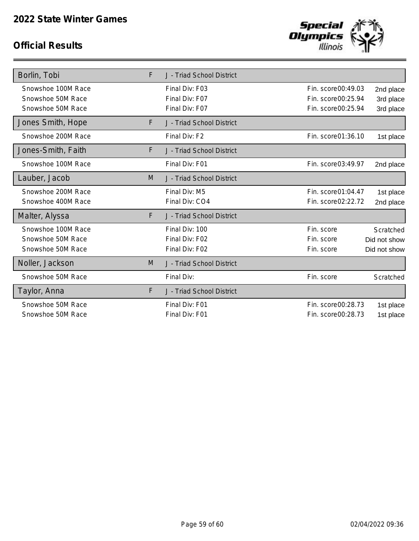

| Borlin, Tobi                            | F  | J - Triad School District        |                                          |                        |
|-----------------------------------------|----|----------------------------------|------------------------------------------|------------------------|
| Snowshoe 100M Race<br>Snowshoe 50M Race |    | Final Div: F03<br>Final Div: F07 | Fin. score00:49.03<br>Fin. score00:25.94 | 2nd place<br>3rd place |
| Snowshoe 50M Race                       |    | Final Div: F07                   | Fin. score00:25.94                       | 3rd place              |
| Jones Smith, Hope                       | F  | J - Triad School District        |                                          |                        |
| Snowshoe 200M Race                      |    | Final Div: F2                    | Fin. score 01:36.10                      | 1st place              |
| Jones-Smith, Faith                      | F. | J - Triad School District        |                                          |                        |
| Snowshoe 100M Race                      |    | Final Div: F01                   | Fin. score03:49.97                       | 2nd place              |
| Lauber, Jacob                           | M  | J - Triad School District        |                                          |                        |
| Snowshoe 200M Race                      |    | Final Div: M5                    | Fin. score01:04.47                       | 1st place              |
| Snowshoe 400M Race                      |    | Final Div: CO4                   | Fin. score02:22.72                       | 2nd place              |
| Malter, Alyssa                          | F. | J - Triad School District        |                                          |                        |
| Snowshoe 100M Race                      |    | Final Div: 100                   | Fin. score                               | Scratched              |
| Snowshoe 50M Race                       |    | Final Div: F02                   | Fin. score                               | Did not show           |
| Snowshoe 50M Race                       |    | Final Div: F02                   | Fin. score                               | Did not show           |
| Noller, Jackson                         | M  | J - Triad School District        |                                          |                        |
| Snowshoe 50M Race                       |    | Final Div:                       | Fin. score                               | Scratched              |
| Taylor, Anna                            | F  | J - Triad School District        |                                          |                        |
| Snowshoe 50M Race                       |    | Final Div: F01                   | Fin. score00:28.73                       | 1st place              |
| Snowshoe 50M Race                       |    | Final Div: F01                   | Fin. score00:28.73                       | 1st place              |